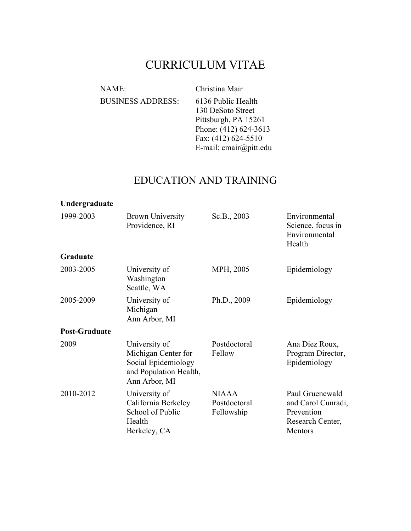# CURRICULUM VITAE

| NAME:                    | Christina Mair         |
|--------------------------|------------------------|
| <b>BUSINESS ADDRESS:</b> | 6136 Public Health     |
|                          | 130 DeSoto Street      |
|                          | Pittsburgh, PA 15261   |
|                          | Phone: (412) 624-3613  |
|                          | Fax: (412) 624-5510    |
|                          | E-mail: cmair@pitt.edu |

# EDUCATION AND TRAINING

| Undergraduate                                                                                                  |                                                                                    |                                            |                                                                                    |
|----------------------------------------------------------------------------------------------------------------|------------------------------------------------------------------------------------|--------------------------------------------|------------------------------------------------------------------------------------|
| 1999-2003                                                                                                      | <b>Brown University</b><br>Providence, RI                                          | Sc.B., 2003                                | Environmental<br>Science, focus in<br>Environmental<br>Health                      |
| Graduate                                                                                                       |                                                                                    |                                            |                                                                                    |
| 2003-2005                                                                                                      | University of<br>Washington<br>Seattle, WA                                         | MPH, 2005                                  | Epidemiology                                                                       |
| 2005-2009                                                                                                      | University of<br>Michigan<br>Ann Arbor, MI                                         |                                            | Epidemiology                                                                       |
| <b>Post-Graduate</b>                                                                                           |                                                                                    |                                            |                                                                                    |
| 2009<br>University of<br>Michigan Center for<br>Social Epidemiology<br>and Population Health,<br>Ann Arbor, MI |                                                                                    | Postdoctoral<br>Fellow                     | Ana Diez Roux,<br>Program Director,<br>Epidemiology                                |
| 2010-2012                                                                                                      | University of<br>California Berkeley<br>School of Public<br>Health<br>Berkeley, CA | <b>NIAAA</b><br>Postdoctoral<br>Fellowship | Paul Gruenewald<br>and Carol Cunradi,<br>Prevention<br>Research Center,<br>Mentors |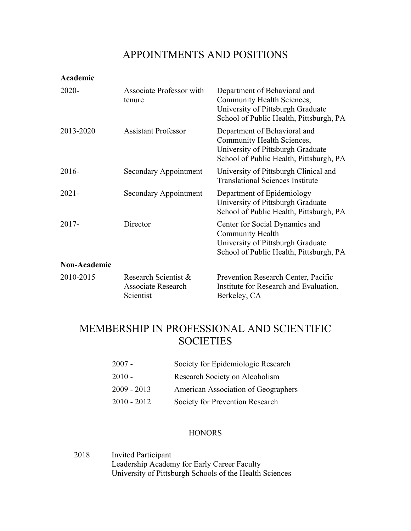## APPOINTMENTS AND POSITIONS

**Academic**

| $2020 -$     | Associate Professor with<br>tenure                             | Department of Behavioral and<br>Community Health Sciences,<br>University of Pittsburgh Graduate<br>School of Public Health, Pittsburgh, PA |
|--------------|----------------------------------------------------------------|--------------------------------------------------------------------------------------------------------------------------------------------|
| 2013-2020    | Assistant Professor                                            | Department of Behavioral and<br>Community Health Sciences,<br>University of Pittsburgh Graduate<br>School of Public Health, Pittsburgh, PA |
| $2016-$      | Secondary Appointment                                          | University of Pittsburgh Clinical and<br><b>Translational Sciences Institute</b>                                                           |
| $2021 -$     | Secondary Appointment                                          | Department of Epidemiology<br>University of Pittsburgh Graduate<br>School of Public Health, Pittsburgh, PA                                 |
| $2017 -$     | Director                                                       | Center for Social Dynamics and<br>Community Health<br>University of Pittsburgh Graduate<br>School of Public Health, Pittsburgh, PA         |
| Non-Academic |                                                                |                                                                                                                                            |
| 2010-2015    | Research Scientist &<br><b>Associate Research</b><br>Scientist | Prevention Research Center, Pacific<br>Institute for Research and Evaluation,<br>Berkeley, CA                                              |

## MEMBERSHIP IN PROFESSIONAL AND SCIENTIFIC **SOCIETIES**

| $2007 -$      | Society for Epidemiologic Research  |
|---------------|-------------------------------------|
| $2010 -$      | Research Society on Alcoholism      |
| $2009 - 2013$ | American Association of Geographers |
| $2010 - 2012$ | Society for Prevention Research     |

#### **HONORS**

2018 Invited Participant Leadership Academy for Early Career Faculty University of Pittsburgh Schools of the Health Sciences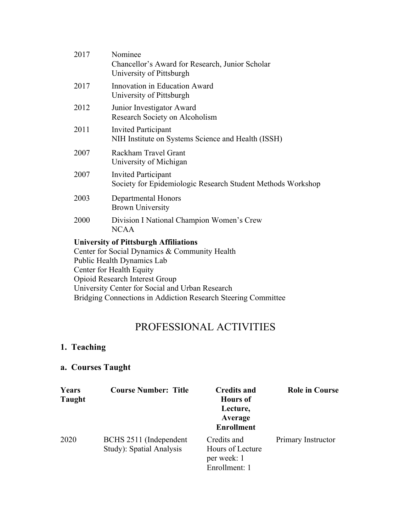| 2017 | Nominee<br>Chancellor's Award for Research, Junior Scholar<br>University of Pittsburgh                                                                                                                                                                      |
|------|-------------------------------------------------------------------------------------------------------------------------------------------------------------------------------------------------------------------------------------------------------------|
| 2017 | Innovation in Education Award<br>University of Pittsburgh                                                                                                                                                                                                   |
| 2012 | Junior Investigator Award<br>Research Society on Alcoholism                                                                                                                                                                                                 |
| 2011 | <b>Invited Participant</b><br>NIH Institute on Systems Science and Health (ISSH)                                                                                                                                                                            |
| 2007 | Rackham Travel Grant<br>University of Michigan                                                                                                                                                                                                              |
| 2007 | <b>Invited Participant</b><br>Society for Epidemiologic Research Student Methods Workshop                                                                                                                                                                   |
| 2003 | Departmental Honors<br><b>Brown University</b>                                                                                                                                                                                                              |
| 2000 | Division I National Champion Women's Crew<br><b>NCAA</b>                                                                                                                                                                                                    |
|      | <b>University of Pittsburgh Affiliations</b><br>Center for Social Dynamics & Community Health<br>Public Health Dynamics Lab<br>$C_{\text{sub}}$ $\mathcal{L}_{\text{sub}}$ $\mathcal{L}_{\text{sub}}$ $\mathcal{L}_{\text{sub}}$ $\mathcal{L}_{\text{sub}}$ |

Center for Health Equity Opioid Research Interest Group University Center for Social and Urban Research Bridging Connections in Addiction Research Steering Committee

# PROFESSIONAL ACTIVITIES

## **1. Teaching**

## **a. Courses Taught**

| Years<br><b>Taught</b> | <b>Course Number: Title</b>                        | <b>Credits and</b><br><b>Hours</b> of<br>Lecture,<br>Average<br><b>Enrollment</b> | <b>Role in Course</b> |
|------------------------|----------------------------------------------------|-----------------------------------------------------------------------------------|-----------------------|
| 2020                   | BCHS 2511 (Independent<br>Study): Spatial Analysis | Credits and<br>Hours of Lecture<br>per week: 1<br>Enrollment: 1                   | Primary Instructor    |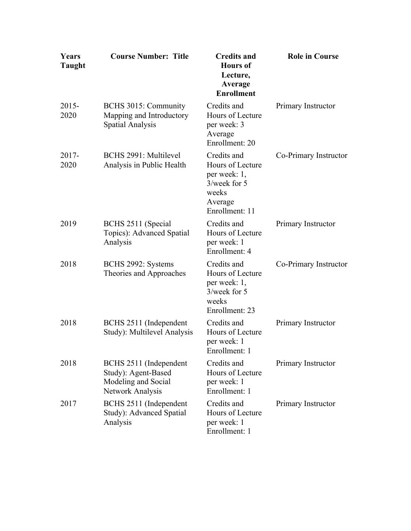| Years<br><b>Taught</b> | <b>Course Number: Title</b>                                                              | <b>Credits and</b><br><b>Hours</b> of<br>Lecture,<br>Average<br><b>Enrollment</b>                        | <b>Role in Course</b> |
|------------------------|------------------------------------------------------------------------------------------|----------------------------------------------------------------------------------------------------------|-----------------------|
| $2015 -$<br>2020       | BCHS 3015: Community<br>Mapping and Introductory<br><b>Spatial Analysis</b>              | Credits and<br>Hours of Lecture<br>per week: 3<br>Average<br>Enrollment: 20                              | Primary Instructor    |
| $2017 -$<br>2020       | BCHS 2991: Multilevel<br>Analysis in Public Health                                       | Credits and<br>Hours of Lecture<br>per week: 1,<br>$3$ /week for 5<br>weeks<br>Average<br>Enrollment: 11 | Co-Primary Instructor |
| 2019                   | BCHS 2511 (Special<br>Topics): Advanced Spatial<br>Analysis                              | Credits and<br>Hours of Lecture<br>per week: 1<br>Enrollment: 4                                          | Primary Instructor    |
| 2018                   | BCHS 2992: Systems<br>Theories and Approaches                                            | Credits and<br>Hours of Lecture<br>per week: 1,<br>$3$ /week for 5<br>weeks<br>Enrollment: 23            | Co-Primary Instructor |
| 2018                   | BCHS 2511 (Independent<br>Study): Multilevel Analysis                                    | Credits and<br>Hours of Lecture<br>per week: 1<br>Enrollment: 1                                          | Primary Instructor    |
| 2018                   | BCHS 2511 (Independent<br>Study): Agent-Based<br>Modeling and Social<br>Network Analysis | Credits and<br>Hours of Lecture<br>per week: 1<br>Enrollment: 1                                          | Primary Instructor    |
| 2017                   | BCHS 2511 (Independent<br>Study): Advanced Spatial<br>Analysis                           | Credits and<br>Hours of Lecture<br>per week: 1<br>Enrollment: 1                                          | Primary Instructor    |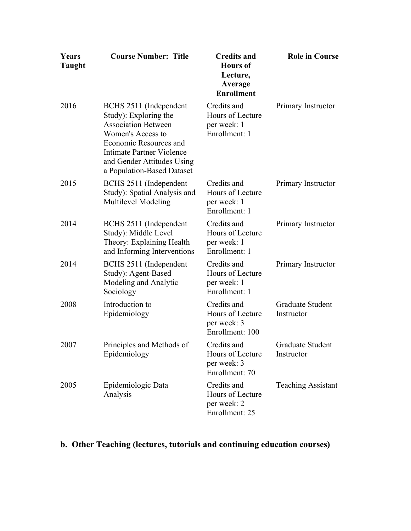| Years<br><b>Taught</b> | <b>Course Number: Title</b>                                                                                                                                                                                           | <b>Credits and</b><br><b>Hours</b> of<br>Lecture,<br>Average<br><b>Enrollment</b> | <b>Role in Course</b>                 |
|------------------------|-----------------------------------------------------------------------------------------------------------------------------------------------------------------------------------------------------------------------|-----------------------------------------------------------------------------------|---------------------------------------|
| 2016                   | BCHS 2511 (Independent<br>Study): Exploring the<br><b>Association Between</b><br>Women's Access to<br>Economic Resources and<br>Intimate Partner Violence<br>and Gender Attitudes Using<br>a Population-Based Dataset | Credits and<br>Hours of Lecture<br>per week: 1<br>Enrollment: 1                   | Primary Instructor                    |
| 2015                   | BCHS 2511 (Independent<br>Study): Spatial Analysis and<br>Multilevel Modeling                                                                                                                                         | Credits and<br>Hours of Lecture<br>per week: 1<br>Enrollment: 1                   | Primary Instructor                    |
| 2014                   | BCHS 2511 (Independent<br>Study): Middle Level<br>Theory: Explaining Health<br>and Informing Interventions                                                                                                            | Credits and<br>Hours of Lecture<br>per week: 1<br>Enrollment: 1                   | Primary Instructor                    |
| 2014                   | BCHS 2511 (Independent<br>Study): Agent-Based<br>Modeling and Analytic<br>Sociology                                                                                                                                   | Credits and<br>Hours of Lecture<br>per week: 1<br>Enrollment: 1                   | Primary Instructor                    |
| 2008                   | Introduction to<br>Epidemiology                                                                                                                                                                                       | Credits and<br>Hours of Lecture<br>per week: 3<br>Enrollment: 100                 | <b>Graduate Student</b><br>Instructor |
| 2007                   | Principles and Methods of<br>Epidemiology                                                                                                                                                                             | Credits and<br>Hours of Lecture<br>per week: 3<br>Enrollment: 70                  | <b>Graduate Student</b><br>Instructor |
| 2005                   | Epidemiologic Data<br>Analysis                                                                                                                                                                                        | Credits and<br>Hours of Lecture<br>per week: 2<br>Enrollment: 25                  | <b>Teaching Assistant</b>             |

## **b. Other Teaching (lectures, tutorials and continuing education courses)**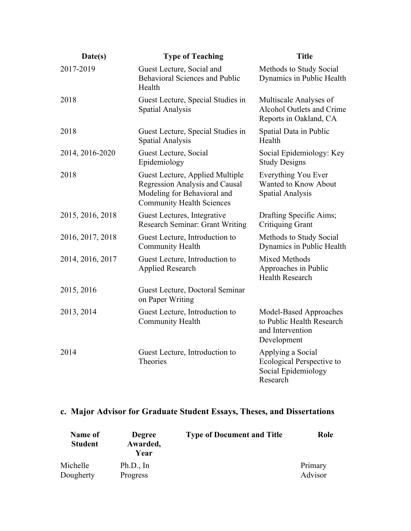| Date(s)          | <b>Type of Teaching</b>                                                                                                              | <b>Title</b>                                                                           |
|------------------|--------------------------------------------------------------------------------------------------------------------------------------|----------------------------------------------------------------------------------------|
| 2017-2019        | Guest Lecture, Social and<br><b>Behavioral Sciences and Public</b><br>Health                                                         | Methods to Study Social<br>Dynamics in Public Health                                   |
| 2018             | Guest Lecture, Special Studies in<br><b>Spatial Analysis</b>                                                                         | Multiscale Analyses of<br><b>Alcohol Outlets and Crime</b><br>Reports in Oakland, CA   |
| 2018             | Guest Lecture, Special Studies in<br><b>Spatial Analysis</b>                                                                         | Spatial Data in Public<br>Health                                                       |
| 2014, 2016-2020  | Guest Lecture, Social<br>Epidemiology                                                                                                | Social Epidemiology: Key<br><b>Study Designs</b>                                       |
| 2018             | Guest Lecture, Applied Multiple<br>Regression Analysis and Causal<br>Modeling for Behavioral and<br><b>Community Health Sciences</b> | Everything You Ever<br>Wanted to Know About<br>Spatial Analysis                        |
| 2015, 2016, 2018 | Guest Lectures, Integrative<br><b>Research Seminar: Grant Writing</b>                                                                | Drafting Specific Aims;<br><b>Critiquing Grant</b>                                     |
| 2016, 2017, 2018 | Guest Lecture, Introduction to<br>Community Health                                                                                   | Methods to Study Social<br>Dynamics in Public Health                                   |
| 2014, 2016, 2017 | Guest Lecture, Introduction to<br><b>Applied Research</b>                                                                            | <b>Mixed Methods</b><br>Approaches in Public<br><b>Health Research</b>                 |
| 2015, 2016       | Guest Lecture, Doctoral Seminar<br>on Paper Writing                                                                                  |                                                                                        |
| 2013, 2014       | Guest Lecture, Introduction to<br>Community Health                                                                                   | Model-Based Approaches<br>to Public Health Research<br>and Intervention<br>Development |
| 2014             | Guest Lecture, Introduction to<br>Theories                                                                                           | Applying a Social<br>Ecological Perspective to<br>Social Epidemiology<br>Research      |

## **c. Major Advisor for Graduate Student Essays, Theses, and Dissertations**

| Name of<br><b>Student</b> | <b>Degree</b><br>Awarded,<br>Year | <b>Type of Document and Title</b> | Role    |
|---------------------------|-----------------------------------|-----------------------------------|---------|
| Michelle                  | Ph.D., In                         |                                   | Primary |
| Dougherty                 | Progress                          |                                   | Advisor |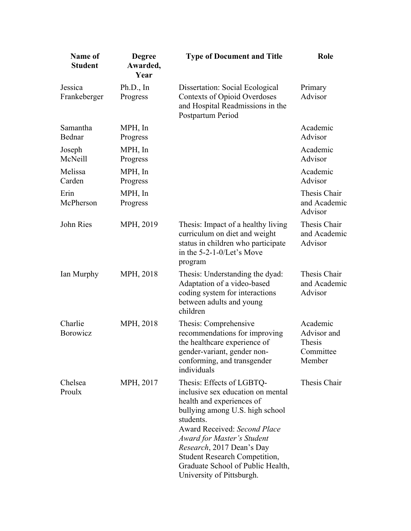| <b>Name of</b><br><b>Student</b> | <b>Degree</b><br>Awarded,<br>Year | <b>Type of Document and Title</b>                                                                                                                                                                                                                                                                                                                       | Role                                                     |
|----------------------------------|-----------------------------------|---------------------------------------------------------------------------------------------------------------------------------------------------------------------------------------------------------------------------------------------------------------------------------------------------------------------------------------------------------|----------------------------------------------------------|
| Jessica<br>Frankeberger          | Ph.D., In<br>Progress             | Dissertation: Social Ecological<br><b>Contexts of Opioid Overdoses</b><br>and Hospital Readmissions in the<br>Postpartum Period                                                                                                                                                                                                                         | Primary<br>Advisor                                       |
| Samantha<br>Bednar               | MPH, In<br>Progress               |                                                                                                                                                                                                                                                                                                                                                         | Academic<br>Advisor                                      |
| Joseph<br>McNeill                | MPH, In<br>Progress               |                                                                                                                                                                                                                                                                                                                                                         | Academic<br>Advisor                                      |
| Melissa<br>Carden                | MPH, In<br>Progress               |                                                                                                                                                                                                                                                                                                                                                         | Academic<br>Advisor                                      |
| Erin<br>McPherson                | MPH, In<br>Progress               |                                                                                                                                                                                                                                                                                                                                                         | Thesis Chair<br>and Academic<br>Advisor                  |
| John Ries                        | MPH, 2019                         | Thesis: Impact of a healthy living<br>curriculum on diet and weight<br>status in children who participate<br>in the 5-2-1-0/Let's Move<br>program                                                                                                                                                                                                       | Thesis Chair<br>and Academic<br>Advisor                  |
| Ian Murphy                       | MPH, 2018                         | Thesis: Understanding the dyad:<br>Adaptation of a video-based<br>coding system for interactions<br>between adults and young<br>children                                                                                                                                                                                                                | Thesis Chair<br>and Academic<br>Advisor                  |
| Charlie<br>Borowicz              | MPH, 2018                         | Thesis: Comprehensive<br>recommendations for improving<br>the healthcare experience of<br>gender-variant, gender non-<br>conforming, and transgender<br>individuals                                                                                                                                                                                     | Academic<br>Advisor and<br>Thesis<br>Committee<br>Member |
| Chelsea<br>Proulx                | MPH, 2017                         | Thesis: Effects of LGBTQ-<br>inclusive sex education on mental<br>health and experiences of<br>bullying among U.S. high school<br>students.<br><b>Award Received: Second Place</b><br>Award for Master's Student<br>Research, 2017 Dean's Day<br><b>Student Research Competition,</b><br>Graduate School of Public Health,<br>University of Pittsburgh. | Thesis Chair                                             |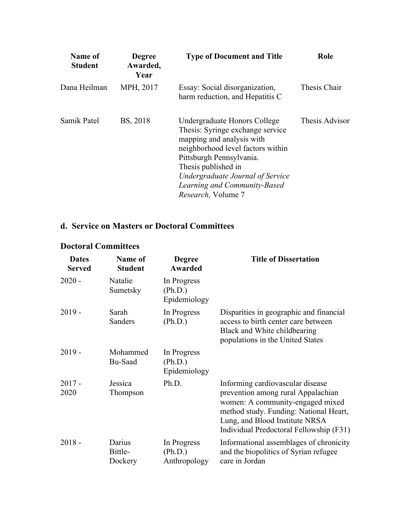| Name of<br><b>Student</b> | <b>Degree</b><br>Awarded,<br>Year | <b>Type of Document and Title</b>                                                                                                                                                                                                                                               | Role           |
|---------------------------|-----------------------------------|---------------------------------------------------------------------------------------------------------------------------------------------------------------------------------------------------------------------------------------------------------------------------------|----------------|
| Dana Heilman              | MPH, 2017                         | Essay: Social disorganization,<br>harm reduction, and Hepatitis C                                                                                                                                                                                                               | Thesis Chair   |
| Samik Patel               | BS, 2018                          | Undergraduate Honors College<br>Thesis: Syringe exchange service<br>mapping and analysis with<br>neighborhood level factors within<br>Pittsburgh Pennsylvania.<br>Thesis published in<br>Undergraduate Journal of Service<br>Learning and Community-Based<br>Research, Volume 7 | Thesis Advisor |

### **d. Service on Masters or Doctoral Committees**

## **Doctoral Committees**

| <b>Dates</b><br><b>Served</b> | Name of<br><b>Student</b>    | <b>Degree</b><br>Awarded               | <b>Title of Dissertation</b>                                                                                                                                                                                                      |
|-------------------------------|------------------------------|----------------------------------------|-----------------------------------------------------------------------------------------------------------------------------------------------------------------------------------------------------------------------------------|
| $2020 -$                      | Natalie<br>Sumetsky          | In Progress<br>(Ph.D.)<br>Epidemiology |                                                                                                                                                                                                                                   |
| $2019 -$                      | Sarah<br>Sanders             | In Progress<br>(Ph.D.)                 | Disparities in geographic and financial<br>access to birth center care between<br>Black and White childbearing<br>populations in the United States                                                                                |
| $2019 -$                      | Mohammed<br>Bu-Saad          | In Progress<br>(Ph.D.)<br>Epidemiology |                                                                                                                                                                                                                                   |
| $2017 -$<br>2020              | Jessica<br>Thompson          | Ph.D.                                  | Informing cardiovascular disease<br>prevention among rural Appalachian<br>women: A community-engaged mixed<br>method study. Funding: National Heart,<br>Lung, and Blood Institute NRSA<br>Individual Predoctoral Fellowship (F31) |
| $2018 -$                      | Darius<br>Bittle-<br>Dockery | In Progress<br>(Ph.D.)<br>Anthropology | Informational assemblages of chronicity<br>and the biopolitics of Syrian refugee<br>care in Jordan                                                                                                                                |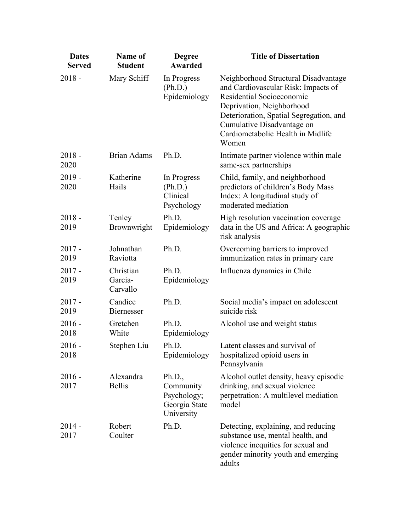| <b>Dates</b><br><b>Served</b> | Name of<br><b>Student</b>        | <b>Degree</b><br>Awarded                                          | <b>Title of Dissertation</b>                                                                                                                                                                                                                                 |
|-------------------------------|----------------------------------|-------------------------------------------------------------------|--------------------------------------------------------------------------------------------------------------------------------------------------------------------------------------------------------------------------------------------------------------|
| $2018 -$                      | Mary Schiff                      | In Progress<br>(Ph.D.)<br>Epidemiology                            | Neighborhood Structural Disadvantage<br>and Cardiovascular Risk: Impacts of<br>Residential Socioeconomic<br>Deprivation, Neighborhood<br>Deterioration, Spatial Segregation, and<br>Cumulative Disadvantage on<br>Cardiometabolic Health in Midlife<br>Women |
| $2018 -$<br>2020              | <b>Brian Adams</b>               | Ph.D.                                                             | Intimate partner violence within male<br>same-sex partnerships                                                                                                                                                                                               |
| $2019 -$<br>2020              | Katherine<br>Hails               | In Progress<br>(Ph.D.)<br>Clinical<br>Psychology                  | Child, family, and neighborhood<br>predictors of children's Body Mass<br>Index: A longitudinal study of<br>moderated mediation                                                                                                                               |
| $2018 -$<br>2019              | Tenley<br>Brownwright            | Ph.D.<br>Epidemiology                                             | High resolution vaccination coverage<br>data in the US and Africa: A geographic<br>risk analysis                                                                                                                                                             |
| $2017 -$<br>2019              | Johnathan<br>Raviotta            | Ph.D.                                                             | Overcoming barriers to improved<br>immunization rates in primary care                                                                                                                                                                                        |
| $2017 -$<br>2019              | Christian<br>Garcia-<br>Carvallo | Ph.D.<br>Epidemiology                                             | Influenza dynamics in Chile                                                                                                                                                                                                                                  |
| $2017 -$<br>2019              | Candice<br><b>Biernesser</b>     | Ph.D.                                                             | Social media's impact on adolescent<br>suicide risk                                                                                                                                                                                                          |
| $2016 -$<br>2018              | Gretchen<br>White                | Ph.D.<br>Epidemiology                                             | Alcohol use and weight status                                                                                                                                                                                                                                |
| $2016 -$<br>2018              | Stephen Liu                      | Ph.D.<br>Epidemiology                                             | Latent classes and survival of<br>hospitalized opioid users in<br>Pennsylvania                                                                                                                                                                               |
| $2016 -$<br>2017              | Alexandra<br><b>Bellis</b>       | Ph.D.,<br>Community<br>Psychology;<br>Georgia State<br>University | Alcohol outlet density, heavy episodic<br>drinking, and sexual violence<br>perpetration: A multilevel mediation<br>model                                                                                                                                     |
| $2014 -$<br>2017              | Robert<br>Coulter                | Ph.D.                                                             | Detecting, explaining, and reducing<br>substance use, mental health, and<br>violence inequities for sexual and<br>gender minority youth and emerging<br>adults                                                                                               |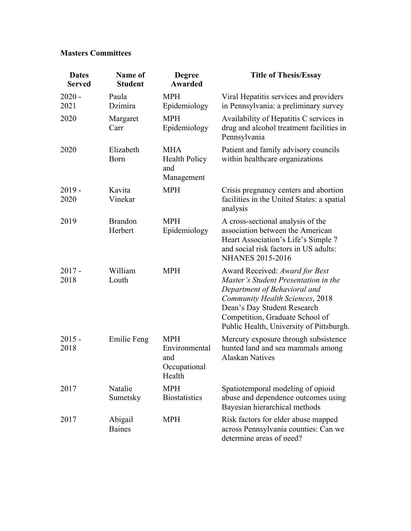### **Masters Committees**

| <b>Dates</b><br><b>Served</b> | Name of<br><b>Student</b> | <b>Degree</b><br><b>Awarded</b>                              | <b>Title of Thesis/Essay</b>                                                                                                                                                                                                                            |
|-------------------------------|---------------------------|--------------------------------------------------------------|---------------------------------------------------------------------------------------------------------------------------------------------------------------------------------------------------------------------------------------------------------|
| $2020 -$<br>2021              | Paula<br>Dzimira          | <b>MPH</b><br>Epidemiology                                   | Viral Hepatitis services and providers<br>in Pennsylvania: a preliminary survey                                                                                                                                                                         |
| 2020                          | Margaret<br>Carr          | <b>MPH</b><br>Epidemiology                                   | Availability of Hepatitis C services in<br>drug and alcohol treatment facilities in<br>Pennsylvania                                                                                                                                                     |
| 2020                          | Elizabeth<br>Born         | <b>MHA</b><br><b>Health Policy</b><br>and<br>Management      | Patient and family advisory councils<br>within healthcare organizations                                                                                                                                                                                 |
| $2019 -$<br>2020              | Kavita<br>Vinekar         | <b>MPH</b>                                                   | Crisis pregnancy centers and abortion<br>facilities in the United States: a spatial<br>analysis                                                                                                                                                         |
| 2019                          | <b>Brandon</b><br>Herbert | <b>MPH</b><br>Epidemiology                                   | A cross-sectional analysis of the<br>association between the American<br>Heart Association's Life's Simple 7<br>and social risk factors in US adults:<br><b>NHANES 2015-2016</b>                                                                        |
| $2017 -$<br>2018              | William<br>Louth          | <b>MPH</b>                                                   | Award Received: Award for Best<br>Master's Student Presentation in the<br>Department of Behavioral and<br>Community Health Sciences, 2018<br>Dean's Day Student Research<br>Competition, Graduate School of<br>Public Health, University of Pittsburgh. |
| $2015 -$<br>2018              | Emilie Feng               | <b>MPH</b><br>Environmental<br>and<br>Occupational<br>Health | Mercury exposure through subsistence<br>hunted land and sea mammals among<br><b>Alaskan Natives</b>                                                                                                                                                     |
| 2017                          | Natalie<br>Sumetsky       | <b>MPH</b><br><b>Biostatistics</b>                           | Spatiotemporal modeling of opioid<br>abuse and dependence outcomes using<br>Bayesian hierarchical methods                                                                                                                                               |
| 2017                          | Abigail<br><b>Baines</b>  | <b>MPH</b>                                                   | Risk factors for elder abuse mapped<br>across Pennsylvania counties: Can we<br>determine areas of need?                                                                                                                                                 |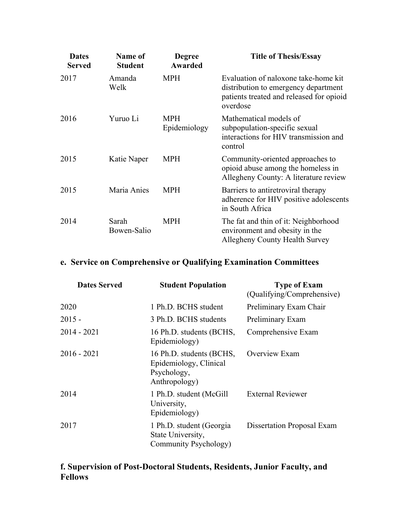| <b>Dates</b><br><b>Served</b> | Name of<br><b>Student</b> | <b>Degree</b><br><b>Awarded</b> | <b>Title of Thesis/Essay</b>                                                                                                         |
|-------------------------------|---------------------------|---------------------------------|--------------------------------------------------------------------------------------------------------------------------------------|
| 2017                          | Amanda<br>Welk            | <b>MPH</b>                      | Evaluation of naloxone take-home kit<br>distribution to emergency department<br>patients treated and released for opioid<br>overdose |
| 2016                          | Yuruo Li                  | <b>MPH</b><br>Epidemiology      | Mathematical models of<br>subpopulation-specific sexual<br>interactions for HIV transmission and<br>control                          |
| 2015                          | Katie Naper               | <b>MPH</b>                      | Community-oriented approaches to<br>opioid abuse among the homeless in<br>Allegheny County: A literature review                      |
| 2015                          | Maria Anies               | <b>MPH</b>                      | Barriers to antiretroviral therapy<br>adherence for HIV positive adolescents<br>in South Africa                                      |
| 2014                          | Sarah<br>Bowen-Salio      | <b>MPH</b>                      | The fat and thin of it: Neighborhood<br>environment and obesity in the<br>Allegheny County Health Survey                             |

## **e. Service on Comprehensive or Qualifying Examination Committees**

| <b>Dates Served</b> | <b>Student Population</b>                                                          | <b>Type of Exam</b><br>(Qualifying/Comprehensive) |
|---------------------|------------------------------------------------------------------------------------|---------------------------------------------------|
| 2020                | 1 Ph.D. BCHS student                                                               | Preliminary Exam Chair                            |
| $2015 -$            | 3 Ph.D. BCHS students                                                              | Preliminary Exam                                  |
| $2014 - 2021$       | 16 Ph.D. students (BCHS,<br>Epidemiology)                                          | Comprehensive Exam                                |
| $2016 - 2021$       | 16 Ph.D. students (BCHS,<br>Epidemiology, Clinical<br>Psychology,<br>Anthropology) | Overview Exam                                     |
| 2014                | 1 Ph.D. student (McGill)<br>University,<br>Epidemiology)                           | <b>External Reviewer</b>                          |
| 2017                | 1 Ph.D. student (Georgia<br>State University,<br>Community Psychology)             | <b>Dissertation Proposal Exam</b>                 |

### **f. Supervision of Post-Doctoral Students, Residents, Junior Faculty, and Fellows**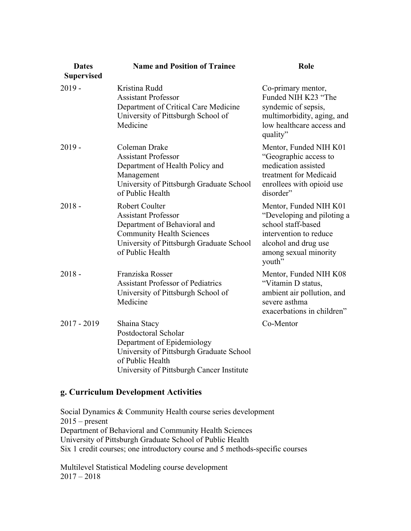| <b>Dates</b><br><b>Supervised</b> | <b>Name and Position of Trainee</b>                                                                                                                                                     | Role                                                                                                                                                            |
|-----------------------------------|-----------------------------------------------------------------------------------------------------------------------------------------------------------------------------------------|-----------------------------------------------------------------------------------------------------------------------------------------------------------------|
| $2019 -$                          | Kristina Rudd<br><b>Assistant Professor</b><br>Department of Critical Care Medicine<br>University of Pittsburgh School of<br>Medicine                                                   | Co-primary mentor,<br>Funded NIH K23 "The<br>syndemic of sepsis,<br>multimorbidity, aging, and<br>low healthcare access and<br>quality"                         |
| $2019 -$                          | Coleman Drake<br><b>Assistant Professor</b><br>Department of Health Policy and<br>Management<br>University of Pittsburgh Graduate School<br>of Public Health                            | Mentor, Funded NIH K01<br>"Geographic access to<br>medication assisted<br>treatment for Medicaid<br>enrollees with opioid use<br>disorder"                      |
| $2018 -$                          | <b>Robert Coulter</b><br><b>Assistant Professor</b><br>Department of Behavioral and<br><b>Community Health Sciences</b><br>University of Pittsburgh Graduate School<br>of Public Health | Mentor, Funded NIH K01<br>"Developing and piloting a<br>school staff-based<br>intervention to reduce<br>alcohol and drug use<br>among sexual minority<br>youth" |
| $2018 -$                          | Franziska Rosser<br><b>Assistant Professor of Pediatrics</b><br>University of Pittsburgh School of<br>Medicine                                                                          | Mentor, Funded NIH K08<br>"Vitamin D status,<br>ambient air pollution, and<br>severe asthma<br>exacerbations in children"                                       |
| $2017 - 2019$                     | Shaina Stacy<br>Postdoctoral Scholar<br>Department of Epidemiology<br>University of Pittsburgh Graduate School<br>of Public Health<br>University of Pittsburgh Cancer Institute         | Co-Mentor                                                                                                                                                       |

### **g. Curriculum Development Activities**

Social Dynamics & Community Health course series development  $2015$  – present Department of Behavioral and Community Health Sciences University of Pittsburgh Graduate School of Public Health Six 1 credit courses; one introductory course and 5 methods-specific courses

Multilevel Statistical Modeling course development 2017 – 2018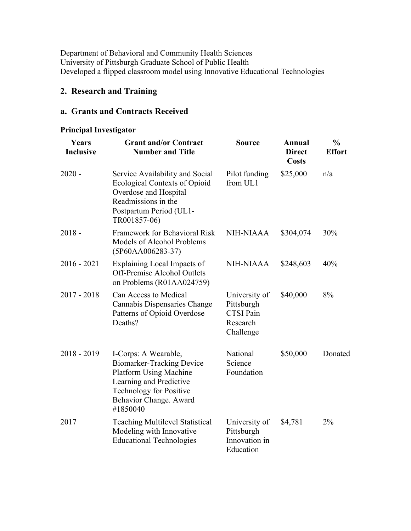Department of Behavioral and Community Health Sciences University of Pittsburgh Graduate School of Public Health Developed a flipped classroom model using Innovative Educational Technologies

### **2. Research and Training**

### **a. Grants and Contracts Received**

### **Principal Investigator**

| Years<br><b>Inclusive</b> | <b>Grant and/or Contract</b><br><b>Number and Title</b>                                                                                                                                      | <b>Source</b>                                                            | Annual<br><b>Direct</b><br><b>Costs</b> | $\frac{0}{0}$<br><b>Effort</b> |
|---------------------------|----------------------------------------------------------------------------------------------------------------------------------------------------------------------------------------------|--------------------------------------------------------------------------|-----------------------------------------|--------------------------------|
| $2020 -$                  | Service Availability and Social<br><b>Ecological Contexts of Opioid</b><br>Overdose and Hospital<br>Readmissions in the<br>Postpartum Period (UL1-<br>TR001857-06)                           | Pilot funding<br>from UL1                                                | \$25,000                                | n/a                            |
| $2018 -$                  | Framework for Behavioral Risk<br>Models of Alcohol Problems<br>(5P60AA006283-37)                                                                                                             | <b>NIH-NIAAA</b>                                                         | \$304,074                               | 30%                            |
| $2016 - 2021$             | Explaining Local Impacts of<br><b>Off-Premise Alcohol Outlets</b><br>on Problems (R01AA024759)                                                                                               | <b>NIH-NIAAA</b>                                                         | \$248,603                               | 40%                            |
| $2017 - 2018$             | Can Access to Medical<br>Cannabis Dispensaries Change<br>Patterns of Opioid Overdose<br>Deaths?                                                                                              | University of<br>Pittsburgh<br><b>CTSI</b> Pain<br>Research<br>Challenge | \$40,000                                | 8%                             |
| $2018 - 2019$             | I-Corps: A Wearable,<br><b>Biomarker-Tracking Device</b><br><b>Platform Using Machine</b><br>Learning and Predictive<br><b>Technology for Positive</b><br>Behavior Change. Award<br>#1850040 | National<br>Science<br>Foundation                                        | \$50,000                                | Donated                        |
| 2017                      | <b>Teaching Multilevel Statistical</b><br>Modeling with Innovative<br><b>Educational Technologies</b>                                                                                        | University of<br>Pittsburgh<br>Innovation in<br>Education                | \$4,781                                 | 2%                             |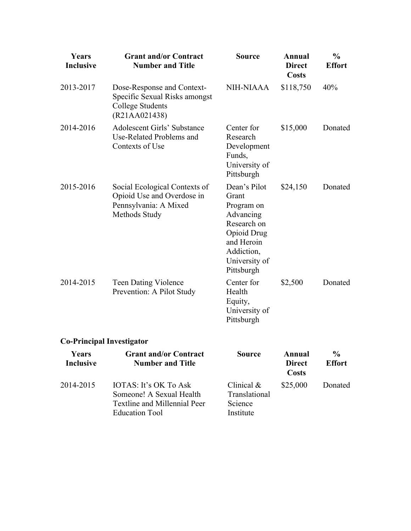| Years<br><b>Inclusive</b> | <b>Grant and/or Contract</b><br><b>Number and Title</b>                                                                  | <b>Source</b>                                                                                                                                    | Annual<br><b>Direct</b><br><b>Costs</b>        | $\frac{0}{0}$<br><b>Effort</b> |
|---------------------------|--------------------------------------------------------------------------------------------------------------------------|--------------------------------------------------------------------------------------------------------------------------------------------------|------------------------------------------------|--------------------------------|
| 2013-2017                 | Dose-Response and Context-<br>Specific Sexual Risks amongst<br><b>College Students</b><br>(R21AA021438)                  | <b>NIH-NIAAA</b>                                                                                                                                 | \$118,750                                      | 40%                            |
| 2014-2016                 | <b>Adolescent Girls' Substance</b><br>Use-Related Problems and<br>Contexts of Use                                        | Center for<br>Research<br>Development<br>Funds,<br>University of<br>Pittsburgh                                                                   | \$15,000                                       | Donated                        |
| 2015-2016                 | Social Ecological Contexts of<br>Opioid Use and Overdose in<br>Pennsylvania: A Mixed<br>Methods Study                    | Dean's Pilot<br>Grant<br>Program on<br>Advancing<br>Research on<br><b>Opioid Drug</b><br>and Heroin<br>Addiction,<br>University of<br>Pittsburgh | \$24,150                                       | Donated                        |
| 2014-2015                 | <b>Teen Dating Violence</b><br>Prevention: A Pilot Study                                                                 | Center for<br>Health<br>Equity,<br>University of<br>Pittsburgh                                                                                   | \$2,500                                        | Donated                        |
|                           | <b>Co-Principal Investigator</b>                                                                                         |                                                                                                                                                  |                                                |                                |
| Years<br><b>Inclusive</b> | <b>Grant and/or Contract</b><br><b>Number and Title</b>                                                                  | <b>Source</b>                                                                                                                                    | <b>Annual</b><br><b>Direct</b><br><b>Costs</b> | $\frac{0}{0}$<br><b>Effort</b> |
| 2014-2015                 | <b>IOTAS: It's OK To Ask</b><br>Someone! A Sexual Health<br><b>Textline and Millennial Peer</b><br><b>Education Tool</b> | Clinical $&$<br>Translational<br>Science<br>Institute                                                                                            | \$25,000                                       | Donated                        |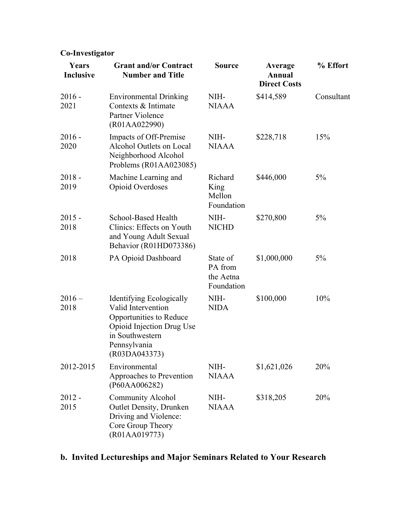## **Co-Investigator**

| Years<br><b>Inclusive</b> | <b>Grant and/or Contract</b><br><b>Number and Title</b>                                                                                                    | <b>Source</b>                                  | Average<br>Annual<br><b>Direct Costs</b> | % Effort   |
|---------------------------|------------------------------------------------------------------------------------------------------------------------------------------------------------|------------------------------------------------|------------------------------------------|------------|
| $2016 -$<br>2021          | <b>Environmental Drinking</b><br>Contexts & Intimate<br>Partner Violence<br>(R01AA022990)                                                                  | NIH-<br><b>NIAAA</b>                           | \$414,589                                | Consultant |
| $2016 -$<br>2020          | Impacts of Off-Premise<br>Alcohol Outlets on Local<br>Neighborhood Alcohol<br>Problems (R01AA023085)                                                       | NIH-<br><b>NIAAA</b>                           | \$228,718                                | 15%        |
| $2018 -$<br>2019          | Machine Learning and<br>Opioid Overdoses                                                                                                                   | Richard<br>King<br>Mellon<br>Foundation        | \$446,000                                | $5\%$      |
| $2015 -$<br>2018          | School-Based Health<br>Clinics: Effects on Youth<br>and Young Adult Sexual<br>Behavior (R01HD073386)                                                       | NIH-<br><b>NICHD</b>                           | \$270,800                                | $5\%$      |
| 2018                      | PA Opioid Dashboard                                                                                                                                        | State of<br>PA from<br>the Aetna<br>Foundation | \$1,000,000                              | $5\%$      |
| $2016 -$<br>2018          | Identifying Ecologically<br>Valid Intervention<br>Opportunities to Reduce<br>Opioid Injection Drug Use<br>in Southwestern<br>Pennsylvania<br>(R03DA043373) | NIH-<br><b>NIDA</b>                            | \$100,000                                | 10%        |
| 2012-2015                 | Environmental<br>Approaches to Prevention<br>(P60AA006282)                                                                                                 | NIH-<br><b>NIAAA</b>                           | \$1,621,026                              | 20%        |
| $2012 -$<br>2015          | <b>Community Alcohol</b><br><b>Outlet Density, Drunken</b><br>Driving and Violence:<br>Core Group Theory<br>(R01AA019773)                                  | NIH-<br><b>NIAAA</b>                           | \$318,205                                | 20%        |

## **b. Invited Lectureships and Major Seminars Related to Your Research**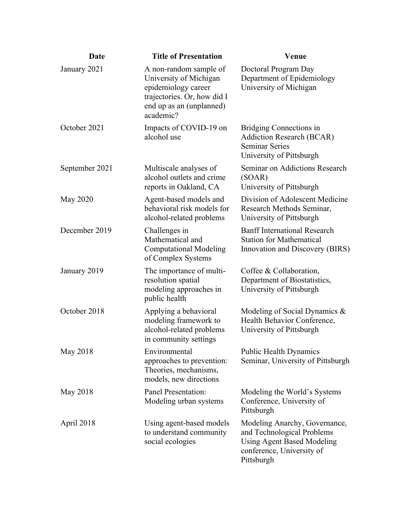| Date           | <b>Title of Presentation</b>                                                                                                                    | <b>Venue</b>                                                                                                                                |
|----------------|-------------------------------------------------------------------------------------------------------------------------------------------------|---------------------------------------------------------------------------------------------------------------------------------------------|
| January 2021   | A non-random sample of<br>University of Michigan<br>epidemiology career<br>trajectories. Or, how did I<br>end up as an (unplanned)<br>academic? | Doctoral Program Day<br>Department of Epidemiology<br>University of Michigan                                                                |
| October 2021   | Impacts of COVID-19 on<br>alcohol use                                                                                                           | Bridging Connections in<br><b>Addiction Research (BCAR)</b><br><b>Seminar Series</b><br>University of Pittsburgh                            |
| September 2021 | Multiscale analyses of<br>alcohol outlets and crime<br>reports in Oakland, CA                                                                   | Seminar on Addictions Research<br>(SOAR)<br>University of Pittsburgh                                                                        |
| May 2020       | Agent-based models and<br>behavioral risk models for<br>alcohol-related problems                                                                | Division of Adolescent Medicine<br>Research Methods Seminar,<br>University of Pittsburgh                                                    |
| December 2019  | Challenges in<br>Mathematical and<br><b>Computational Modeling</b><br>of Complex Systems                                                        | <b>Banff International Research</b><br><b>Station for Mathematical</b><br>Innovation and Discovery (BIRS)                                   |
| January 2019   | The importance of multi-<br>resolution spatial<br>modeling approaches in<br>public health                                                       | Coffee & Collaboration,<br>Department of Biostatistics,<br>University of Pittsburgh                                                         |
| October 2018   | Applying a behavioral<br>modeling framework to<br>alcohol-related problems<br>in community settings                                             | Modeling of Social Dynamics $\&$<br>Health Behavior Conference,<br>University of Pittsburgh                                                 |
| May 2018       | Environmental<br>approaches to prevention:<br>Theories, mechanisms,<br>models, new directions                                                   | <b>Public Health Dynamics</b><br>Seminar, University of Pittsburgh                                                                          |
| May 2018       | Panel Presentation:<br>Modeling urban systems                                                                                                   | Modeling the World's Systems<br>Conference, University of<br>Pittsburgh                                                                     |
| April 2018     | Using agent-based models<br>to understand community<br>social ecologies                                                                         | Modeling Anarchy, Governance,<br>and Technological Problems<br><b>Using Agent Based Modeling</b><br>conference, University of<br>Pittsburgh |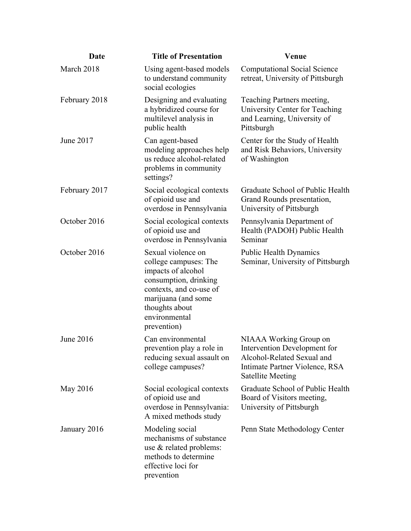| Date          | <b>Title of Presentation</b>                                                                                                                                                                   | Venue                                                                                                                                              |
|---------------|------------------------------------------------------------------------------------------------------------------------------------------------------------------------------------------------|----------------------------------------------------------------------------------------------------------------------------------------------------|
| March 2018    | Using agent-based models<br>to understand community<br>social ecologies                                                                                                                        | <b>Computational Social Science</b><br>retreat, University of Pittsburgh                                                                           |
| February 2018 | Designing and evaluating<br>a hybridized course for<br>multilevel analysis in<br>public health                                                                                                 | Teaching Partners meeting,<br>University Center for Teaching<br>and Learning, University of<br>Pittsburgh                                          |
| June 2017     | Can agent-based<br>modeling approaches help<br>us reduce alcohol-related<br>problems in community<br>settings?                                                                                 | Center for the Study of Health<br>and Risk Behaviors, University<br>of Washington                                                                  |
| February 2017 | Social ecological contexts<br>of opioid use and<br>overdose in Pennsylvania                                                                                                                    | Graduate School of Public Health<br>Grand Rounds presentation,<br>University of Pittsburgh                                                         |
| October 2016  | Social ecological contexts<br>of opioid use and<br>overdose in Pennsylvania                                                                                                                    | Pennsylvania Department of<br>Health (PADOH) Public Health<br>Seminar                                                                              |
| October 2016  | Sexual violence on<br>college campuses: The<br>impacts of alcohol<br>consumption, drinking<br>contexts, and co-use of<br>marijuana (and some<br>thoughts about<br>environmental<br>prevention) | <b>Public Health Dynamics</b><br>Seminar, University of Pittsburgh                                                                                 |
| June 2016     | Can environmental<br>prevention play a role in<br>reducing sexual assault on<br>college campuses?                                                                                              | NIAAA Working Group on<br>Intervention Development for<br>Alcohol-Related Sexual and<br>Intimate Partner Violence, RSA<br><b>Satellite Meeting</b> |
| May 2016      | Social ecological contexts<br>of opioid use and<br>overdose in Pennsylvania:<br>A mixed methods study                                                                                          | Graduate School of Public Health<br>Board of Visitors meeting,<br>University of Pittsburgh                                                         |
| January 2016  | Modeling social<br>mechanisms of substance<br>use & related problems:<br>methods to determine<br>effective loci for<br>prevention                                                              | Penn State Methodology Center                                                                                                                      |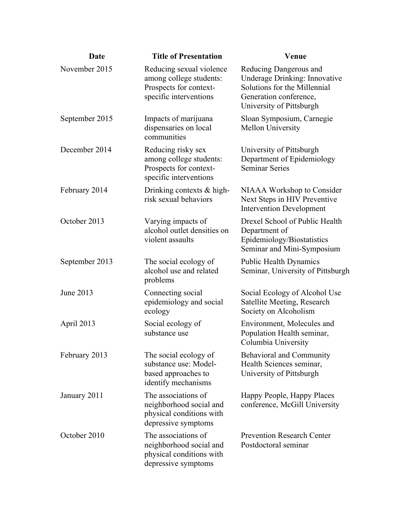| Date           | <b>Title of Presentation</b>                                                                            | <b>Venue</b>                                                                                                                                  |
|----------------|---------------------------------------------------------------------------------------------------------|-----------------------------------------------------------------------------------------------------------------------------------------------|
| November 2015  | Reducing sexual violence<br>among college students:<br>Prospects for context-<br>specific interventions | Reducing Dangerous and<br>Underage Drinking: Innovative<br>Solutions for the Millennial<br>Generation conference,<br>University of Pittsburgh |
| September 2015 | Impacts of marijuana<br>dispensaries on local<br>communities                                            | Sloan Symposium, Carnegie<br>Mellon University                                                                                                |
| December 2014  | Reducing risky sex<br>among college students:<br>Prospects for context-<br>specific interventions       | University of Pittsburgh<br>Department of Epidemiology<br><b>Seminar Series</b>                                                               |
| February 2014  | Drinking contexts & high-<br>risk sexual behaviors                                                      | NIAAA Workshop to Consider<br>Next Steps in HIV Preventive<br><b>Intervention Development</b>                                                 |
| October 2013   | Varying impacts of<br>alcohol outlet densities on<br>violent assaults                                   | Drexel School of Public Health<br>Department of<br>Epidemiology/Biostatistics<br>Seminar and Mini-Symposium                                   |
| September 2013 | The social ecology of<br>alcohol use and related<br>problems                                            | <b>Public Health Dynamics</b><br>Seminar, University of Pittsburgh                                                                            |
| June 2013      | Connecting social<br>epidemiology and social<br>ecology                                                 | Social Ecology of Alcohol Use<br>Satellite Meeting, Research<br>Society on Alcoholism                                                         |
| April 2013     | Social ecology of<br>substance use                                                                      | Environment, Molecules and<br>Population Health seminar,<br>Columbia University                                                               |
| February 2013  | The social ecology of<br>substance use: Model-<br>based approaches to<br>identify mechanisms            | <b>Behavioral and Community</b><br>Health Sciences seminar,<br>University of Pittsburgh                                                       |
| January 2011   | The associations of<br>neighborhood social and<br>physical conditions with<br>depressive symptoms       | Happy People, Happy Places<br>conference, McGill University                                                                                   |
| October 2010   | The associations of<br>neighborhood social and<br>physical conditions with<br>depressive symptoms       | <b>Prevention Research Center</b><br>Postdoctoral seminar                                                                                     |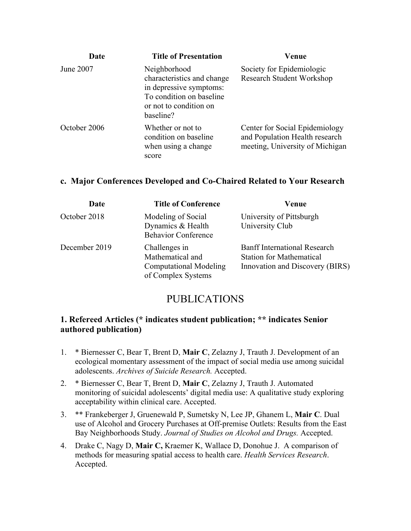| Date         | <b>Title of Presentation</b>                                                                                                             | Venue                                                                                               |
|--------------|------------------------------------------------------------------------------------------------------------------------------------------|-----------------------------------------------------------------------------------------------------|
| June 2007    | Neighborhood<br>characteristics and change<br>in depressive symptoms:<br>To condition on baseline<br>or not to condition on<br>baseline? | Society for Epidemiologic<br>Research Student Workshop                                              |
| October 2006 | Whether or not to<br>condition on baseline<br>when using a change<br>score                                                               | Center for Social Epidemiology<br>and Population Health research<br>meeting, University of Michigan |

#### **c. Major Conferences Developed and Co-Chaired Related to Your Research**

| Date          | <b>Title of Conference</b>                                                               | Venue                                                                                                     |
|---------------|------------------------------------------------------------------------------------------|-----------------------------------------------------------------------------------------------------------|
| October 2018  | Modeling of Social<br>Dynamics & Health<br><b>Behavior Conference</b>                    | University of Pittsburgh<br>University Club                                                               |
| December 2019 | Challenges in<br>Mathematical and<br><b>Computational Modeling</b><br>of Complex Systems | <b>Banff International Research</b><br><b>Station for Mathematical</b><br>Innovation and Discovery (BIRS) |

### PUBLICATIONS

### **1. Refereed Articles (\* indicates student publication; \*\* indicates Senior authored publication)**

- 1. \* Biernesser C, Bear T, Brent D, **Mair C**, Zelazny J, Trauth J. Development of an ecological momentary assessment of the impact of social media use among suicidal adolescents. *Archives of Suicide Research.* Accepted.
- 2. \* Biernesser C, Bear T, Brent D, **Mair C**, Zelazny J, Trauth J. Automated monitoring of suicidal adolescents' digital media use: A qualitative study exploring acceptability within clinical care. Accepted.
- 3. \*\* Frankeberger J, Gruenewald P, Sumetsky N, Lee JP, Ghanem L, **Mair C**. Dual use of Alcohol and Grocery Purchases at Off-premise Outlets: Results from the East Bay Neighborhoods Study. *Journal of Studies on Alcohol and Drugs.* Accepted.
- 4. Drake C, Nagy D, **Mair C,** Kraemer K, Wallace D, Donohue J. A comparison of methods for measuring spatial access to health care. *Health Services Research*. Accepted.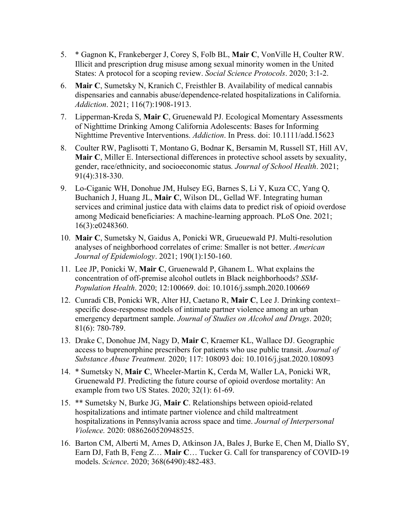- 5. \* Gagnon K, Frankeberger J, Corey S, Folb BL, **Mair C**, VonVille H, Coulter RW. Illicit and prescription drug misuse among sexual minority women in the United States: A protocol for a scoping review. *Social Science Protocols*. 2020; 3:1-2.
- 6. **Mair C**, Sumetsky N, Kranich C, Freisthler B. Availability of medical cannabis dispensaries and cannabis abuse/dependence‐related hospitalizations in California. *Addiction*. 2021; 116(7):1908-1913.
- 7. Lipperman-Kreda S, **Mair C**, Gruenewald PJ. Ecological Momentary Assessments of Nighttime Drinking Among California Adolescents: Bases for Informing Nighttime Preventive Interventions. *Addiction*. In Press. doi: 10.1111/add.15623
- 8. Coulter RW, Paglisotti T, Montano G, Bodnar K, Bersamin M, Russell ST, Hill AV, **Mair C**, Miller E. Intersectional differences in protective school assets by sexuality, gender, race/ethnicity, and socioeconomic status*. Journal of School Health*. 2021; 91(4):318-330.
- 9. Lo-Ciganic WH, Donohue JM, Hulsey EG, Barnes S, Li Y, Kuza CC, Yang Q, Buchanich J, Huang JL, **Mair C**, Wilson DL, Gellad WF. Integrating human services and criminal justice data with claims data to predict risk of opioid overdose among Medicaid beneficiaries: A machine-learning approach. PLoS One. 2021; 16(3):e0248360.
- 10. **Mair C**, Sumetsky N, Gaidus A, Ponicki WR, Grueuewald PJ. Multi-resolution analyses of neighborhood correlates of crime: Smaller is not better. *American Journal of Epidemiology*. 2021; 190(1):150-160.
- 11. Lee JP, Ponicki W, **Mair C**, Gruenewald P, Ghanem L. What explains the concentration of off-premise alcohol outlets in Black neighborhoods? *SSM-Population Health*. 2020; 12:100669. doi: 10.1016/j.ssmph.2020.100669
- 12. Cunradi CB, Ponicki WR, Alter HJ, Caetano R, **Mair C**, Lee J. Drinking context– specific dose-response models of intimate partner violence among an urban emergency department sample. *Journal of Studies on Alcohol and Drugs*. 2020; 81(6): 780-789.
- 13. Drake C, Donohue JM, Nagy D, **Mair C**, Kraemer KL, Wallace DJ. Geographic access to buprenorphine prescribers for patients who use public transit. *Journal of Substance Abuse Treatment.* 2020; 117: 108093 doi: 10.1016/j.jsat.2020.108093
- 14. \* Sumetsky N, **Mair C**, Wheeler-Martin K, Cerda M, Waller LA, Ponicki WR, Gruenewald PJ. Predicting the future course of opioid overdose mortality: An example from two US States. 2020; 32(1): 61-69.
- 15. \*\* Sumetsky N, Burke JG, **Mair C**. Relationships between opioid-related hospitalizations and intimate partner violence and child maltreatment hospitalizations in Pennsylvania across space and time. *Journal of Interpersonal Violence.* 2020: 0886260520948525.
- 16. Barton CM, Alberti M, Ames D, Atkinson JA, Bales J, Burke E, Chen M, Diallo SY, Earn DJ, Fath B, Feng Z… **Mair C**… Tucker G. Call for transparency of COVID-19 models. *Science*. 2020; 368(6490):482-483.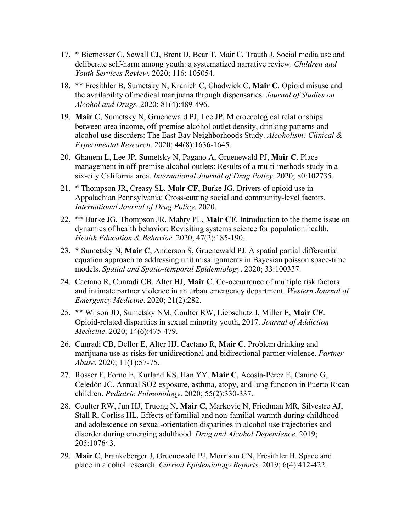- 17. \* Biernesser C, Sewall CJ, Brent D, Bear T, Mair C, Trauth J. Social media use and deliberate self-harm among youth: a systematized narrative review. *Children and Youth Services Review.* 2020; 116: 105054.
- 18. \*\* Fresithler B, Sumetsky N, Kranich C, Chadwick C, **Mair C**. Opioid misuse and the availability of medical marijuana through dispensaries. *Journal of Studies on Alcohol and Drugs.* 2020; 81(4):489-496.
- 19. **Mair C**, Sumetsky N, Gruenewald PJ, Lee JP. Microecological relationships between area income, off-premise alcohol outlet density, drinking patterns and alcohol use disorders: The East Bay Neighborhoods Study. *Alcoholism: Clinical & Experimental Research*. 2020; 44(8):1636-1645.
- 20. Ghanem L, Lee JP, Sumetsky N, Pagano A, Gruenewald PJ, **Mair C**. Place management in off-premise alcohol outlets: Results of a multi-methods study in a six-city California area. *International Journal of Drug Policy*. 2020; 80:102735.
- 21. \* Thompson JR, Creasy SL, **Mair CF**, Burke JG. Drivers of opioid use in Appalachian Pennsylvania: Cross-cutting social and community-level factors. *International Journal of Drug Policy*. 2020.
- 22. \*\* Burke JG, Thompson JR, Mabry PL, **Mair CF**. Introduction to the theme issue on dynamics of health behavior: Revisiting systems science for population health. *Health Education & Behavior*. 2020; 47(2):185-190.
- 23. \* Sumetsky N, **Mair C**, Anderson S, Gruenewald PJ. A spatial partial differential equation approach to addressing unit misalignments in Bayesian poisson space-time models. *Spatial and Spatio-temporal Epidemiology*. 2020; 33:100337.
- 24. Caetano R, Cunradi CB, Alter HJ, **Mair C**. Co-occurrence of multiple risk factors and intimate partner violence in an urban emergency department. *Western Journal of Emergency Medicine*. 2020; 21(2):282.
- 25. \*\* Wilson JD, Sumetsky NM, Coulter RW, Liebschutz J, Miller E, **Mair CF**. Opioid-related disparities in sexual minority youth, 2017. *Journal of Addiction Medicine*. 2020; 14(6):475-479.
- 26. Cunradi CB, Dellor E, Alter HJ, Caetano R, **Mair C**. Problem drinking and marijuana use as risks for unidirectional and bidirectional partner violence. *Partner Abuse*. 2020; 11(1):57-75.
- 27. Rosser F, Forno E, Kurland KS, Han YY, **Mair C**, Acosta‐Pérez E, Canino G, Celedón JC. Annual SO2 exposure, asthma, atopy, and lung function in Puerto Rican children. *Pediatric Pulmonology*. 2020; 55(2):330-337.
- 28. Coulter RW, Jun HJ, Truong N, **Mair C**, Markovic N, Friedman MR, Silvestre AJ, Stall R, Corliss HL. Effects of familial and non-familial warmth during childhood and adolescence on sexual-orientation disparities in alcohol use trajectories and disorder during emerging adulthood. *Drug and Alcohol Dependence*. 2019; 205:107643.
- 29. **Mair C**, Frankeberger J, Gruenewald PJ, Morrison CN, Fresithler B. Space and place in alcohol research. *Current Epidemiology Reports*. 2019; 6(4):412-422.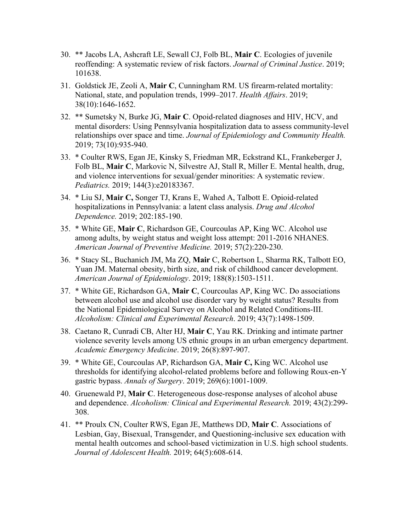- 30. \*\* Jacobs LA, Ashcraft LE, Sewall CJ, Folb BL, **Mair C**. Ecologies of juvenile reoffending: A systematic review of risk factors. *Journal of Criminal Justice*. 2019; 101638.
- 31. Goldstick JE, Zeoli A, **Mair C**, Cunningham RM. US firearm-related mortality: National, state, and population trends, 1999–2017. *Health Affairs*. 2019; 38(10):1646-1652.
- 32. \*\* Sumetsky N, Burke JG, **Mair C**. Opoid-related diagnoses and HIV, HCV, and mental disorders: Using Pennsylvania hospitalization data to assess community-level relationships over space and time. *Journal of Epidemiology and Community Health.* 2019; 73(10):935-940.
- 33. \* Coulter RWS, Egan JE, Kinsky S, Friedman MR, Eckstrand KL, Frankeberger J, Folb BL, **Mair C**, Markovic N, Silvestre AJ, Stall R, Miller E. Mental health, drug, and violence interventions for sexual/gender minorities: A systematic review. *Pediatrics.* 2019; 144(3):e20183367.
- 34. \* Liu SJ, **Mair C,** Songer TJ, Krans E, Wahed A, Talbott E. Opioid-related hospitalizations in Pennsylvania: a latent class analysis. *Drug and Alcohol Dependence.* 2019; 202:185-190.
- 35. \* White GE, **Mair C**, Richardson GE, Courcoulas AP, King WC. Alcohol use among adults, by weight status and weight loss attempt: 2011-2016 NHANES. *American Journal of Preventive Medicine.* 2019; 57(2):220-230.
- 36. \* Stacy SL, Buchanich JM, Ma ZQ, **Mair** C, Robertson L, Sharma RK, Talbott EO, Yuan JM. Maternal obesity, birth size, and risk of childhood cancer development. *American Journal of Epidemiology*. 2019; 188(8):1503-1511.
- 37. \* White GE, Richardson GA, **Mair C**, Courcoulas AP, King WC. Do associations between alcohol use and alcohol use disorder vary by weight status? Results from the National Epidemiological Survey on Alcohol and Related Conditions‐III. *Alcoholism: Clinical and Experimental Research*. 2019; 43(7):1498-1509.
- 38. Caetano R, Cunradi CB, Alter HJ, **Mair C**, Yau RK. Drinking and intimate partner violence severity levels among US ethnic groups in an urban emergency department. *Academic Emergency Medicine*. 2019; 26(8):897-907.
- 39. \* White GE, Courcoulas AP, Richardson GA, **Mair C,** King WC. Alcohol use thresholds for identifying alcohol-related problems before and following Roux-en-Y gastric bypass. *Annals of Surgery*. 2019; 269(6):1001-1009.
- 40. Gruenewald PJ, **Mair C**. Heterogeneous dose-response analyses of alcohol abuse and dependence. *Alcoholism: Clinical and Experimental Research.* 2019; 43(2):299- 308.
- 41. \*\* Proulx CN, Coulter RWS, Egan JE, Matthews DD, **Mair C**. Associations of Lesbian, Gay, Bisexual, Transgender, and Questioning-inclusive sex education with mental health outcomes and school-based victimization in U.S. high school students. *Journal of Adolescent Health.* 2019; 64(5):608-614.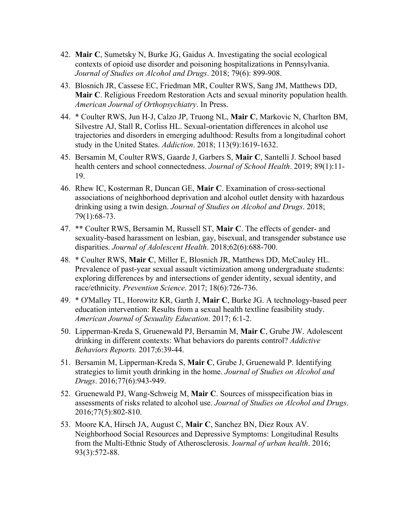- 42. **Mair C**, Sumetsky N, Burke JG, Gaidus A. Investigating the social ecological contexts of opioid use disorder and poisoning hospitalizations in Pennsylvania. *Journal of Studies on Alcohol and Drugs*. 2018; 79(6): 899-908.
- 43. Blosnich JR, Cassese EC, Friedman MR, Coulter RWS, Sang JM, Matthews DD, **Mair C**. Religious Freedom Restoration Acts and sexual minority population health. *American Journal of Orthopsychiatry*. In Press.
- 44. \* Coulter RWS, Jun H-J, Calzo JP, Truong NL, **Mair C**, Markovic N, Charlton BM, Silvestre AJ, Stall R, Corliss HL. Sexual-orientation differences in alcohol use trajectories and disorders in emerging adulthood: Results from a longitudinal cohort study in the United States. *Addiction*. 2018; 113(9):1619-1632.
- 45. Bersamin M, Coulter RWS, Gaarde J, Garbers S, **Mair C**, Santelli J. School based health centers and school connectedness. *Journal of School Health*. 2019; 89(1):11- 19.
- 46. Rhew IC, Kosterman R, Duncan GE, **Mair C**. Examination of cross-sectional associations of neighborhood deprivation and alcohol outlet density with hazardous drinking using a twin design. *Journal of Studies on Alcohol and Drugs*. 2018; 79(1):68-73.
- 47. \*\* Coulter RWS, Bersamin M, Russell ST, **Mair C**. The effects of gender- and sexuality-based harassment on lesbian, gay, bisexual, and transgender substance use disparities. *Journal of Adolescent Health*. 2018;62(6):688-700.
- 48. \* Coulter RWS, **Mair C**, Miller E, Blosnich JR, Matthews DD, McCauley HL. Prevalence of past-year sexual assault victimization among undergraduate students: exploring differences by and intersections of gender identity, sexual identity, and race/ethnicity. *Prevention Science*. 2017; 18(6):726-736.
- 49. \* O'Malley TL, Horowitz KR, Garth J, **Mair C**, Burke JG. A technology-based peer education intervention: Results from a sexual health textline feasibility study. *American Journal of Sexuality Education*. 2017; 6:1-2.
- 50. Lipperman-Kreda S, Gruenewald PJ, Bersamin M, **Mair C**, Grube JW. Adolescent drinking in different contexts: What behaviors do parents control? *Addictive Behaviors Reports.* 2017;6:39-44.
- 51. Bersamin M, Lipperman-Kreda S, **Mair C**, Grube J, Gruenewald P. Identifying strategies to limit youth drinking in the home. *Journal of Studies on Alcohol and Drugs*. 2016;77(6):943-949.
- 52. Gruenewald PJ, Wang-Schweig M, **Mair C**. Sources of misspecification bias in assessments of risks related to alcohol use. *Journal of Studies on Alcohol and Drugs*. 2016;77(5):802-810.
- 53. Moore KA, Hirsch JA, August C, **Mair C**, Sanchez BN, Diez Roux AV. Neighborhood Social Resources and Depressive Symptoms: Longitudinal Results from the Multi-Ethnic Study of Atherosclerosis. J*ournal of urban health*. 2016; 93(3):572-88.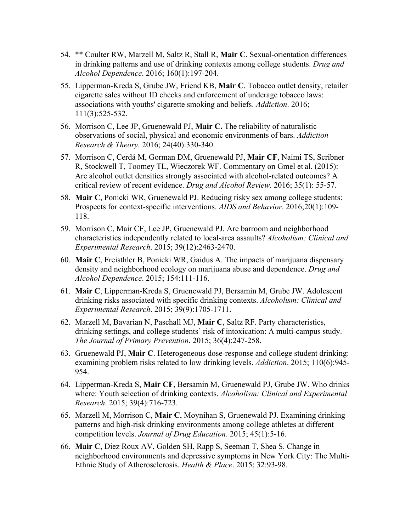- 54. \*\* Coulter RW, Marzell M, Saltz R, Stall R, **Mair C**. Sexual-orientation differences in drinking patterns and use of drinking contexts among college students. *Drug and Alcohol Dependence*. 2016; 160(1):197-204.
- 55. Lipperman-Kreda S, Grube JW, Friend KB, **Mair C**. Tobacco outlet density, retailer cigarette sales without ID checks and enforcement of underage tobacco laws: associations with youths' cigarette smoking and beliefs. *Addiction*. 2016; 111(3):525-532.
- 56. Morrison C, Lee JP, Gruenewald PJ, **Mair C.** The reliability of naturalistic observations of social, physical and economic environments of bars. *Addiction Research & Theory.* 2016; 24(40):330-340.
- 57. Morrison C, Cerdá M, Gorman DM, Gruenewald PJ, **Mair CF**, Naimi TS, Scribner R, Stockwell T, Toomey TL, Wieczorek WF. Commentary on Gmel et al. (2015): Are alcohol outlet densities strongly associated with alcohol-related outcomes? A critical review of recent evidence. *Drug and Alcohol Review*. 2016; 35(1): 55-57.
- 58. **Mair C**, Ponicki WR, Gruenewald PJ. Reducing risky sex among college students: Prospects for context-specific interventions. *AIDS and Behavior*. 2016;20(1):109- 118.
- 59. Morrison C, Mair CF, Lee JP, Gruenewald PJ. Are barroom and neighborhood characteristics independently related to local-area assaults? *Alcoholism: Clinical and Experimental Research*. 2015; 39(12):2463-2470.
- 60. **Mair C**, Freisthler B, Ponicki WR, Gaidus A. The impacts of marijuana dispensary density and neighborhood ecology on marijuana abuse and dependence. *Drug and Alcohol Dependence*. 2015; 154:111-116.
- 61. **Mair C**, Lipperman-Kreda S, Gruenewald PJ, Bersamin M, Grube JW. Adolescent drinking risks associated with specific drinking contexts. *Alcoholism: Clinical and Experimental Research*. 2015; 39(9):1705-1711.
- 62. Marzell M, Bavarian N, Paschall MJ, **Mair C**, Saltz RF. Party characteristics, drinking settings, and college students' risk of intoxication: A multi-campus study. *The Journal of Primary Prevention*. 2015; 36(4):247-258.
- 63. Gruenewald PJ, **Mair C**. Heterogeneous dose-response and college student drinking: examining problem risks related to low drinking levels. *Addiction*. 2015; 110(6):945- 954.
- 64. Lipperman-Kreda S, **Mair CF**, Bersamin M, Gruenewald PJ, Grube JW. Who drinks where: Youth selection of drinking contexts. *Alcoholism: Clinical and Experimental Research*. 2015; 39(4):716-723.
- 65. Marzell M, Morrison C, **Mair C**, Moynihan S, Gruenewald PJ. Examining drinking patterns and high-risk drinking environments among college athletes at different competition levels. *Journal of Drug Education*. 2015; 45(1):5-16.
- 66. **Mair C**, Diez Roux AV, Golden SH, Rapp S, Seeman T, Shea S. Change in neighborhood environments and depressive symptoms in New York City: The Multi-Ethnic Study of Atherosclerosis. *Health & Place*. 2015; 32:93-98.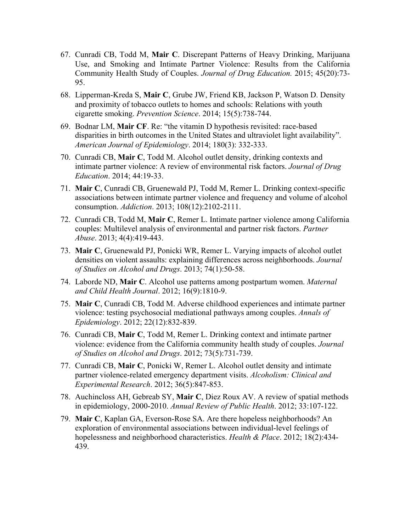- 67. Cunradi CB, Todd M, **Mair C**. Discrepant Patterns of Heavy Drinking, Marijuana Use, and Smoking and Intimate Partner Violence: Results from the California Community Health Study of Couples. *Journal of Drug Education.* 2015; 45(20):73- 95.
- 68. Lipperman-Kreda S, **Mair C**, Grube JW, Friend KB, Jackson P, Watson D. Density and proximity of tobacco outlets to homes and schools: Relations with youth cigarette smoking. *Prevention Science*. 2014; 15(5):738-744.
- 69. Bodnar LM, **Mair CF**. Re: "the vitamin D hypothesis revisited: race-based disparities in birth outcomes in the United States and ultraviolet light availability". *American Journal of Epidemiology*. 2014; 180(3): 332-333.
- 70. Cunradi CB, **Mair C**, Todd M. Alcohol outlet density, drinking contexts and intimate partner violence: A review of environmental risk factors. *Journal of Drug Education*. 2014; 44:19-33.
- 71. **Mair C**, Cunradi CB, Gruenewald PJ, Todd M, Remer L. Drinking context-specific associations between intimate partner violence and frequency and volume of alcohol consumption. *Addiction*. 2013; 108(12):2102-2111.
- 72. Cunradi CB, Todd M, **Mair C**, Remer L. Intimate partner violence among California couples: Multilevel analysis of environmental and partner risk factors. *Partner Abuse*. 2013; 4(4):419-443.
- 73. **Mair C**, Gruenewald PJ, Ponicki WR, Remer L. Varying impacts of alcohol outlet densities on violent assaults: explaining differences across neighborhoods. *Journal of Studies on Alcohol and Drugs*. 2013; 74(1):50-58.
- 74. Laborde ND, **Mair C**. Alcohol use patterns among postpartum women. *Maternal and Child Health Journal*. 2012; 16(9):1810-9.
- 75. **Mair C**, Cunradi CB, Todd M. Adverse childhood experiences and intimate partner violence: testing psychosocial mediational pathways among couples. *Annals of Epidemiology*. 2012; 22(12):832-839.
- 76. Cunradi CB, **Mair C**, Todd M, Remer L. Drinking context and intimate partner violence: evidence from the California community health study of couples. *Journal of Studies on Alcohol and Drugs*. 2012; 73(5):731-739.
- 77. Cunradi CB, **Mair C**, Ponicki W, Remer L. Alcohol outlet density and intimate partner violence-related emergency department visits. *Alcoholism: Clinical and Experimental Research*. 2012; 36(5):847-853.
- 78. Auchincloss AH, Gebreab SY, **Mair C**, Diez Roux AV. A review of spatial methods in epidemiology, 2000-2010. *Annual Review of Public Health*. 2012; 33:107-122.
- 79. **Mair C**, Kaplan GA, Everson-Rose SA. Are there hopeless neighborhoods? An exploration of environmental associations between individual-level feelings of hopelessness and neighborhood characteristics. *Health & Place*. 2012; 18(2):434- 439.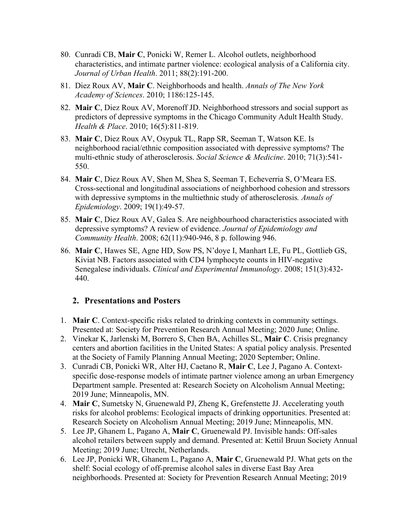- 80. Cunradi CB, **Mair C**, Ponicki W, Remer L. Alcohol outlets, neighborhood characteristics, and intimate partner violence: ecological analysis of a California city. *Journal of Urban Health*. 2011; 88(2):191-200.
- 81. Diez Roux AV, **Mair C**. Neighborhoods and health. *Annals of The New York Academy of Sciences*. 2010; 1186:125-145.
- 82. **Mair C**, Diez Roux AV, Morenoff JD. Neighborhood stressors and social support as predictors of depressive symptoms in the Chicago Community Adult Health Study. *Health & Place*. 2010; 16(5):811-819.
- 83. **Mair C**, Diez Roux AV, Osypuk TL, Rapp SR, Seeman T, Watson KE. Is neighborhood racial/ethnic composition associated with depressive symptoms? The multi-ethnic study of atherosclerosis. *Social Science & Medicine*. 2010; 71(3):541- 550.
- 84. **Mair C**, Diez Roux AV, Shen M, Shea S, Seeman T, Echeverria S, O'Meara ES. Cross-sectional and longitudinal associations of neighborhood cohesion and stressors with depressive symptoms in the multiethnic study of atherosclerosis*. Annals of Epidemiology*. 2009; 19(1):49-57.
- 85. **Mair C**, Diez Roux AV, Galea S. Are neighbourhood characteristics associated with depressive symptoms? A review of evidence. *Journal of Epidemiology and Community Health*. 2008; 62(11):940-946, 8 p. following 946.
- 86. **Mair C**, Hawes SE, Agne HD, Sow PS, N'doye I, Manhart LE, Fu PL, Gottlieb GS, Kiviat NB. Factors associated with CD4 lymphocyte counts in HIV-negative Senegalese individuals. *Clinical and Experimental Immunology*. 2008; 151(3):432- 440.

#### **2. Presentations and Posters**

- 1. **Mair C**. Context-specific risks related to drinking contexts in community settings. Presented at: Society for Prevention Research Annual Meeting; 2020 June; Online.
- 2. Vinekar K, Jarlenski M, Borrero S, Chen BA, Achilles SL, **Mair C**. Crisis pregnancy centers and abortion facilities in the United States: A spatial policy analysis. Presented at the Society of Family Planning Annual Meeting; 2020 September; Online.
- 3. Cunradi CB, Ponicki WR, Alter HJ, Caetano R, **Mair C**, Lee J, Pagano A. Contextspecific dose-response models of intimate partner violence among an urban Emergency Department sample. Presented at: Research Society on Alcoholism Annual Meeting; 2019 June; Minneapolis, MN.
- 4. **Mair C**, Sumetsky N, Gruenewald PJ, Zheng K, Grefenstette JJ. Accelerating youth risks for alcohol problems: Ecological impacts of drinking opportunities. Presented at: Research Society on Alcoholism Annual Meeting; 2019 June; Minneapolis, MN.
- 5. Lee JP, Ghanem L, Pagano A, **Mair C**, Gruenewald PJ. Invisible hands: Off-sales alcohol retailers between supply and demand. Presented at: Kettil Bruun Society Annual Meeting; 2019 June; Utrecht, Netherlands.
- 6. Lee JP, Ponicki WR, Ghanem L, Pagano A, **Mair C**, Gruenewald PJ. What gets on the shelf: Social ecology of off-premise alcohol sales in diverse East Bay Area neighborhoods. Presented at: Society for Prevention Research Annual Meeting; 2019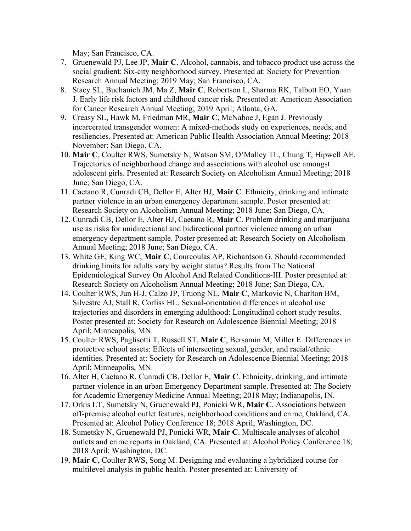May; San Francisco, CA.

- 7. Gruenewald PJ, Lee JP, **Mair C**. Alcohol, cannabis, and tobacco product use across the social gradient: Six-city neighborhood survey. Presented at: Society for Prevention Research Annual Meeting; 2019 May; San Francisco, CA.
- 8. Stacy SL, Buchanich JM, Ma Z, **Mair C**, Robertson L, Sharma RK, Talbott EO, Yuan J. Early life risk factors and childhood cancer risk. Presented at: American Association for Cancer Research Annual Meeting; 2019 April; Atlanta, GA.
- 9. Creasy SL, Hawk M, Friedman MR, **Mair C**, McNaboe J, Egan J. Previously incarcerated transgender women: A mixed-methods study on experiences, needs, and resiliencies. Presented at: American Public Health Association Annual Meeting; 2018 November; San Diego, CA.
- 10. **Mair C**, Coulter RWS, Sumetsky N, Watson SM, O'Malley TL, Chung T, Hipwell AE. Trajectories of neighborhood change and associations with alcohol use amongst adolescent girls. Presented at: Research Society on Alcoholism Annual Meeting; 2018 June; San Diego, CA.
- 11. Caetano R, Cunradi CB, Dellor E, Alter HJ, **Mair C**. Ethnicity, drinking and intimate partner violence in an urban emergency department sample. Poster presented at: Research Society on Alcoholism Annual Meeting; 2018 June; San Diego, CA.
- 12. Cunradi CB, Dellor E, Alter HJ, Caetano R, **Mair C**. Problem drinking and marijuana use as risks for unidirectional and bidirectional partner violence among an urban emergency department sample. Poster presented at: Research Society on Alcoholism Annual Meeting; 2018 June; San Diego, CA.
- 13. White GE, King WC, **Mair C**, Courcoulas AP, Richardson G. Should recommended drinking limits for adults vary by weight status? Results from The National Epidemiological Survey On Alcohol And Related Conditions-III. Poster presented at: Research Society on Alcoholism Annual Meeting; 2018 June; San Diego, CA.
- 14. Coulter RWS, Jun H-J, Calzo JP, Truong NL, **Mair C**, Markovic N, Charlton BM, Silvestre AJ, Stall R, Corliss HL. Sexual-orientation differences in alcohol use trajectories and disorders in emerging adulthood: Longitudinal cohort study results. Poster presented at: Society for Research on Adolescence Biennial Meeting; 2018 April; Minneapolis, MN.
- 15. Coulter RWS, Paglisotti T, Russell ST, **Mair C**, Bersamin M, Miller E. Differences in protective school assets: Effects of intersecting sexual, gender, and racial/ethnic identities. Presented at: Society for Research on Adolescence Biennial Meeting; 2018 April; Minneapolis, MN.
- 16. Alter H, Caetano R, Cunradi CB, Dellor E, **Mair C**. Ethnicity, drinking, and intimate partner violence in an urban Emergency Department sample. Presented at: The Society for Academic Emergency Medicine Annual Meeting; 2018 May; Indianapolis, IN.
- 17. Orkis LT, Sumetsky N, Gruenewald PJ, Ponicki WR, **Mair C**. Associations between off-premise alcohol outlet features, neighborhood conditions and crime, Oakland, CA. Presented at: Alcohol Policy Conference 18; 2018 April; Washington, DC.
- 18. Sumetsky N, Gruenewald PJ, Ponicki WR, **Mair C**. Multiscale analyses of alcohol outlets and crime reports in Oakland, CA. Presented at: Alcohol Policy Conference 18; 2018 April; Washington, DC.
- 19. **Mair C**, Coulter RWS, Song M. Designing and evaluating a hybridized course for multilevel analysis in public health. Poster presented at: University of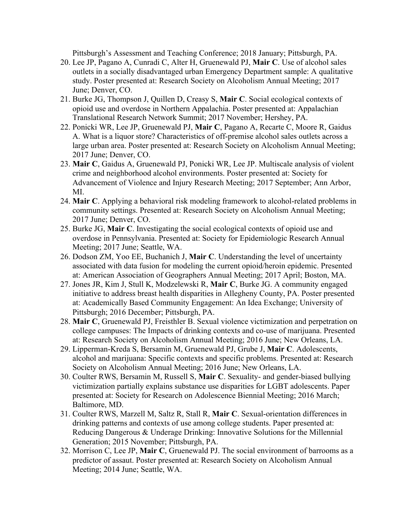Pittsburgh's Assessment and Teaching Conference; 2018 January; Pittsburgh, PA.

- 20. Lee JP, Pagano A, Cunradi C, Alter H, Gruenewald PJ, **Mair C**. Use of alcohol sales outlets in a socially disadvantaged urban Emergency Department sample: A qualitative study. Poster presented at: Research Society on Alcoholism Annual Meeting; 2017 June; Denver, CO.
- 21. Burke JG, Thompson J, Quillen D, Creasy S, **Mair C**. Social ecological contexts of opioid use and overdose in Northern Appalachia. Poster presented at: Appalachian Translational Research Network Summit; 2017 November; Hershey, PA.
- 22. Ponicki WR, Lee JP, Gruenewald PJ, **Mair C**, Pagano A, Recarte C, Moore R, Gaidus A. What is a liquor store? Characteristics of off-premise alcohol sales outlets across a large urban area. Poster presented at: Research Society on Alcoholism Annual Meeting; 2017 June; Denver, CO.
- 23. **Mair C**, Gaidus A, Gruenewald PJ, Ponicki WR, Lee JP. Multiscale analysis of violent crime and neighborhood alcohol environments. Poster presented at: Society for Advancement of Violence and Injury Research Meeting; 2017 September; Ann Arbor, MI.
- 24. **Mair C**. Applying a behavioral risk modeling framework to alcohol-related problems in community settings. Presented at: Research Society on Alcoholism Annual Meeting; 2017 June; Denver, CO.
- 25. Burke JG, **Mair C**. Investigating the social ecological contexts of opioid use and overdose in Pennsylvania. Presented at: Society for Epidemiologic Research Annual Meeting; 2017 June; Seattle, WA.
- 26. Dodson ZM, Yoo EE, Buchanich J, **Mair C**. Understanding the level of uncertainty associated with data fusion for modeling the current opioid/heroin epidemic. Presented at: American Association of Geographers Annual Meeting; 2017 April; Boston, MA.
- 27. Jones JR, Kim J, Stull K, Modzelewski R, **Mair C**, Burke JG. A community engaged initiative to address breast health disparities in Allegheny County, PA. Poster presented at: Academically Based Community Engagement: An Idea Exchange; University of Pittsburgh; 2016 December; Pittsburgh, PA.
- 28. **Mair C**, Gruenewald PJ, Freisthler B. Sexual violence victimization and perpetration on college campuses: The Impacts of drinking contexts and co-use of marijuana. Presented at: Research Society on Alcoholism Annual Meeting; 2016 June; New Orleans, LA.
- 29. Lipperman-Kreda S, Bersamin M, Gruenewald PJ, Grube J, **Mair C**. Adolescents, alcohol and marijuana: Specific contexts and specific problems. Presented at: Research Society on Alcoholism Annual Meeting; 2016 June; New Orleans, LA.
- 30. Coulter RWS, Bersamin M, Russell S, **Mair C**. Sexuality- and gender-biased bullying victimization partially explains substance use disparities for LGBT adolescents. Paper presented at: Society for Research on Adolescence Biennial Meeting; 2016 March; Baltimore, MD.
- 31. Coulter RWS, Marzell M, Saltz R, Stall R, **Mair C**. Sexual-orientation differences in drinking patterns and contexts of use among college students. Paper presented at: Reducing Dangerous & Underage Drinking: Innovative Solutions for the Millennial Generation; 2015 November; Pittsburgh, PA.
- 32. Morrison C, Lee JP, **Mair C**, Gruenewald PJ. The social environment of barrooms as a predictor of assaut. Poster presented at: Research Society on Alcoholism Annual Meeting; 2014 June; Seattle, WA.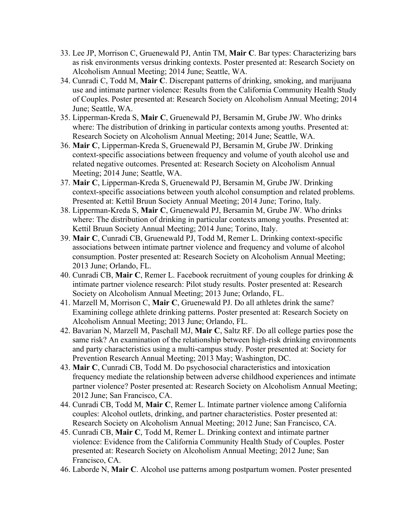- 33. Lee JP, Morrison C, Gruenewald PJ, Antin TM, **Mair C**. Bar types: Characterizing bars as risk environments versus drinking contexts. Poster presented at: Research Society on Alcoholism Annual Meeting; 2014 June; Seattle, WA.
- 34. Cunradi C, Todd M, **Mair C**. Discrepant patterns of drinking, smoking, and marijuana use and intimate partner violence: Results from the California Community Health Study of Couples. Poster presented at: Research Society on Alcoholism Annual Meeting; 2014 June; Seattle, WA.
- 35. Lipperman-Kreda S, **Mair C**, Gruenewald PJ, Bersamin M, Grube JW. Who drinks where: The distribution of drinking in particular contexts among youths. Presented at: Research Society on Alcoholism Annual Meeting; 2014 June; Seattle, WA.
- 36. **Mair C**, Lipperman-Kreda S, Gruenewald PJ, Bersamin M, Grube JW. Drinking context-specific associations between frequency and volume of youth alcohol use and related negative outcomes. Presented at: Research Society on Alcoholism Annual Meeting; 2014 June; Seattle, WA.
- 37. **Mair C**, Lipperman-Kreda S, Gruenewald PJ, Bersamin M, Grube JW. Drinking context-specific associations between youth alcohol consumption and related problems. Presented at: Kettil Bruun Society Annual Meeting; 2014 June; Torino, Italy.
- 38. Lipperman-Kreda S, **Mair C**, Gruenewald PJ, Bersamin M, Grube JW. Who drinks where: The distribution of drinking in particular contexts among youths. Presented at: Kettil Bruun Society Annual Meeting; 2014 June; Torino, Italy.
- 39. **Mair C**, Cunradi CB, Gruenewald PJ, Todd M, Remer L. Drinking context-specific associations between intimate partner violence and frequency and volume of alcohol consumption. Poster presented at: Research Society on Alcoholism Annual Meeting; 2013 June; Orlando, FL.
- 40. Cunradi CB, **Mair C**, Remer L. Facebook recruitment of young couples for drinking & intimate partner violence research: Pilot study results. Poster presented at: Research Society on Alcoholism Annual Meeting; 2013 June; Orlando, FL.
- 41. Marzell M, Morrison C, **Mair C**, Gruenewald PJ. Do all athletes drink the same? Examining college athlete drinking patterns. Poster presented at: Research Society on Alcoholism Annual Meeting; 2013 June; Orlando, FL.
- 42. Bavarian N, Marzell M, Paschall MJ, **Mair C**, Saltz RF. Do all college parties pose the same risk? An examination of the relationship between high-risk drinking environments and party characteristics using a multi-campus study. Poster presented at: Society for Prevention Research Annual Meeting; 2013 May; Washington, DC.
- 43. **Mair C**, Cunradi CB, Todd M. Do psychosocial characteristics and intoxication frequency mediate the relationship between adverse childhood experiences and intimate partner violence? Poster presented at: Research Society on Alcoholism Annual Meeting; 2012 June; San Francisco, CA.
- 44. Cunradi CB, Todd M, **Mair C**, Remer L. Intimate partner violence among California couples: Alcohol outlets, drinking, and partner characteristics. Poster presented at: Research Society on Alcoholism Annual Meeting; 2012 June; San Francisco, CA.
- 45. Cunradi CB, **Mair C**, Todd M, Remer L. Drinking context and intimate partner violence: Evidence from the California Community Health Study of Couples. Poster presented at: Research Society on Alcoholism Annual Meeting; 2012 June; San Francisco, CA.
- 46. Laborde N, **Mair C**. Alcohol use patterns among postpartum women. Poster presented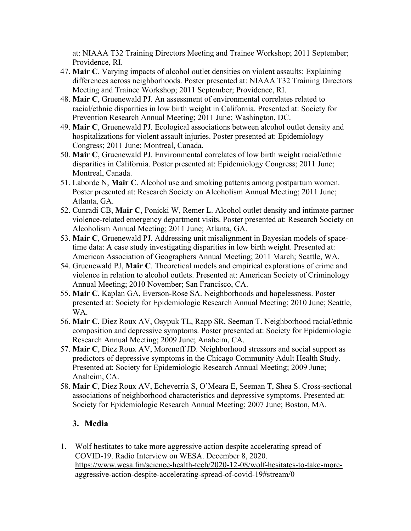at: NIAAA T32 Training Directors Meeting and Trainee Workshop; 2011 September; Providence, RI.

- 47. **Mair C**. Varying impacts of alcohol outlet densities on violent assaults: Explaining differences across neighborhoods. Poster presented at: NIAAA T32 Training Directors Meeting and Trainee Workshop; 2011 September; Providence, RI.
- 48. **Mair C**, Gruenewald PJ. An assessment of environmental correlates related to racial/ethnic disparities in low birth weight in California. Presented at: Society for Prevention Research Annual Meeting; 2011 June; Washington, DC.
- 49. **Mair C**, Gruenewald PJ. Ecological associations between alcohol outlet density and hospitalizations for violent assault injuries. Poster presented at: Epidemiology Congress; 2011 June; Montreal, Canada.
- 50. **Mair C**, Gruenewald PJ. Environmental correlates of low birth weight racial/ethnic disparities in California. Poster presented at: Epidemiology Congress; 2011 June; Montreal, Canada.
- 51. Laborde N, **Mair C**. Alcohol use and smoking patterns among postpartum women. Poster presented at: Research Society on Alcoholism Annual Meeting; 2011 June; Atlanta, GA.
- 52. Cunradi CB, **Mair C**, Ponicki W, Remer L. Alcohol outlet density and intimate partner violence-related emergency department visits. Poster presented at: Research Society on Alcoholism Annual Meeting; 2011 June; Atlanta, GA.
- 53. **Mair C**, Gruenewald PJ. Addressing unit misalignment in Bayesian models of spacetime data: A case study investigating disparities in low birth weight. Presented at: American Association of Geographers Annual Meeting; 2011 March; Seattle, WA.
- 54. Gruenewald PJ, **Mair C**. Theoretical models and empirical explorations of crime and violence in relation to alcohol outlets. Presented at: American Society of Criminology Annual Meeting; 2010 November; San Francisco, CA.
- 55. **Mair C**, Kaplan GA, Everson-Rose SA. Neighborhoods and hopelessness. Poster presented at: Society for Epidemiologic Research Annual Meeting; 2010 June; Seattle, WA.
- 56. **Mair C**, Diez Roux AV, Osypuk TL, Rapp SR, Seeman T. Neighborhood racial/ethnic composition and depressive symptoms. Poster presented at: Society for Epidemiologic Research Annual Meeting; 2009 June; Anaheim, CA.
- 57. **Mair C**, Diez Roux AV, Morenoff JD. Neighborhood stressors and social support as predictors of depressive symptoms in the Chicago Community Adult Health Study. Presented at: Society for Epidemiologic Research Annual Meeting; 2009 June; Anaheim, CA.
- 58. **Mair C**, Diez Roux AV, Echeverria S, O'Meara E, Seeman T, Shea S. Cross-sectional associations of neighborhood characteristics and depressive symptoms. Presented at: Society for Epidemiologic Research Annual Meeting; 2007 June; Boston, MA.

### **3. Media**

1. Wolf hestitates to take more aggressive action despite accelerating spread of COVID-19. Radio Interview on WESA. December 8, 2020. https://www.wesa.fm/science-health-tech/2020-12-08/wolf-hesitates-to-take-moreaggressive-action-despite-accelerating-spread-of-covid-19#stream/0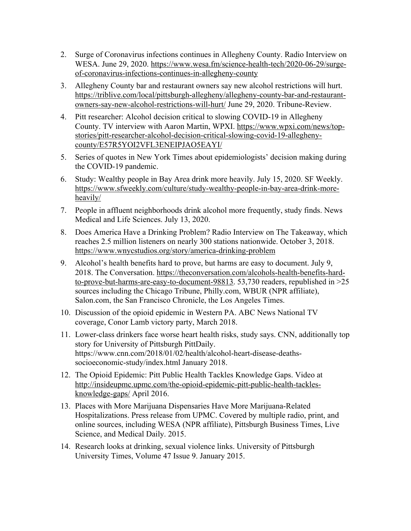- 2. Surge of Coronavirus infections continues in Allegheny County. Radio Interview on WESA. June 29, 2020. https://www.wesa.fm/science-health-tech/2020-06-29/surgeof-coronavirus-infections-continues-in-allegheny-county
- 3. Allegheny County bar and restaurant owners say new alcohol restrictions will hurt. https://triblive.com/local/pittsburgh-allegheny/allegheny-county-bar-and-restaurantowners-say-new-alcohol-restrictions-will-hurt/ June 29, 2020. Tribune-Review.
- 4. Pitt researcher: Alcohol decision critical to slowing COVID-19 in Allegheny County. TV interview with Aaron Martin, WPXI. https://www.wpxi.com/news/topstories/pitt-researcher-alcohol-decision-critical-slowing-covid-19-alleghenycounty/E57R5YOI2VFL3ENEIPJAO5EAYI/
- 5. Series of quotes in New York Times about epidemiologists' decision making during the COVID-19 pandemic.
- 6. Study: Wealthy people in Bay Area drink more heavily. July 15, 2020. SF Weekly. https://www.sfweekly.com/culture/study-wealthy-people-in-bay-area-drink-moreheavily/
- 7. People in affluent neighborhoods drink alcohol more frequently, study finds. News Medical and Life Sciences. July 13, 2020.
- 8. Does America Have a Drinking Problem? Radio Interview on The Takeaway, which reaches 2.5 million listeners on nearly 300 stations nationwide. October 3, 2018. https://www.wnycstudios.org/story/america-drinking-problem
- 9. Alcohol's health benefits hard to prove, but harms are easy to document. July 9, 2018. The Conversation. https://theconversation.com/alcohols-health-benefits-hardto-prove-but-harms-are-easy-to-document-98813. 53,730 readers, republished in >25 sources including the Chicago Tribune, Philly.com, WBUR (NPR affiliate), Salon.com, the San Francisco Chronicle, the Los Angeles Times.
- 10. Discussion of the opioid epidemic in Western PA. ABC News National TV coverage, Conor Lamb victory party, March 2018.
- 11. Lower-class drinkers face worse heart health risks, study says. CNN, additionally top story for University of Pittsburgh PittDaily. https://www.cnn.com/2018/01/02/health/alcohol-heart-disease-deathssocioeconomic-study/index.html January 2018.
- 12. The Opioid Epidemic: Pitt Public Health Tackles Knowledge Gaps. Video at http://insideupmc.upmc.com/the-opioid-epidemic-pitt-public-health-tacklesknowledge-gaps/ April 2016.
- 13. Places with More Marijuana Dispensaries Have More Marijuana-Related Hospitalizations. Press release from UPMC. Covered by multiple radio, print, and online sources, including WESA (NPR affiliate), Pittsburgh Business Times, Live Science, and Medical Daily. 2015.
- 14. Research looks at drinking, sexual violence links. University of Pittsburgh University Times, Volume 47 Issue 9. January 2015.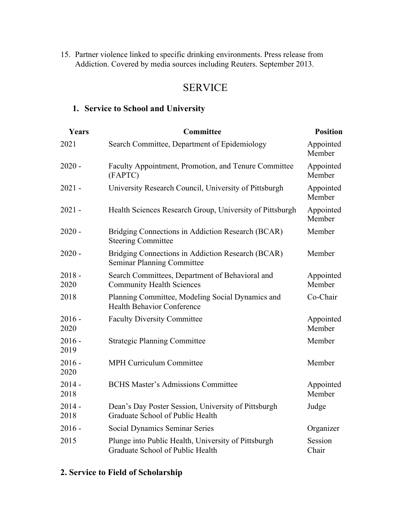15. Partner violence linked to specific drinking environments. Press release from Addiction. Covered by media sources including Reuters. September 2013.

## SERVICE

## **1. Service to School and University**

| Years            | Committee                                                                               | <b>Position</b>     |
|------------------|-----------------------------------------------------------------------------------------|---------------------|
| 2021             | Search Committee, Department of Epidemiology                                            | Appointed<br>Member |
| $2020 -$         | Faculty Appointment, Promotion, and Tenure Committee<br>(FAPTC)                         | Appointed<br>Member |
| $2021 -$         | University Research Council, University of Pittsburgh                                   | Appointed<br>Member |
| $2021 -$         | Health Sciences Research Group, University of Pittsburgh                                | Appointed<br>Member |
| $2020 -$         | Bridging Connections in Addiction Research (BCAR)<br><b>Steering Committee</b>          | Member              |
| $2020 -$         | Bridging Connections in Addiction Research (BCAR)<br><b>Seminar Planning Committee</b>  | Member              |
| $2018 -$<br>2020 | Search Committees, Department of Behavioral and<br><b>Community Health Sciences</b>     | Appointed<br>Member |
| 2018             | Planning Committee, Modeling Social Dynamics and<br><b>Health Behavior Conference</b>   | Co-Chair            |
| $2016 -$<br>2020 | <b>Faculty Diversity Committee</b>                                                      | Appointed<br>Member |
| $2016 -$<br>2019 | <b>Strategic Planning Committee</b>                                                     | Member              |
| $2016 -$<br>2020 | <b>MPH Curriculum Committee</b>                                                         | Member              |
| $2014 -$<br>2018 | <b>BCHS Master's Admissions Committee</b>                                               | Appointed<br>Member |
| $2014 -$<br>2018 | Dean's Day Poster Session, University of Pittsburgh<br>Graduate School of Public Health | Judge               |
| $2016 -$         | Social Dynamics Seminar Series                                                          | Organizer           |
| 2015             | Plunge into Public Health, University of Pittsburgh<br>Graduate School of Public Health | Session<br>Chair    |

## **2. Service to Field of Scholarship**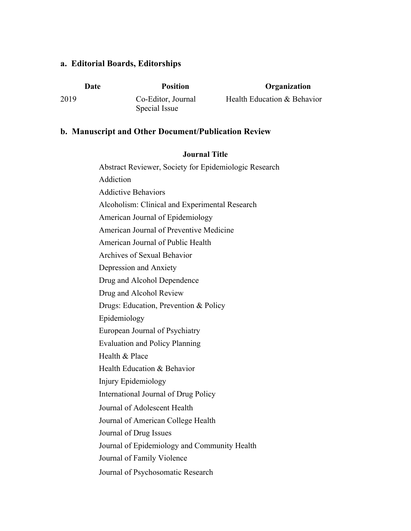#### **a. Editorial Boards, Editorships**

2019 Co-Editor, Journal Special Issue

#### **Date Position Organization**

Health Education & Behavior

#### **b. Manuscript and Other Document/Publication Review**

#### **Journal Title**

Abstract Reviewer, Society for Epidemiologic Research Addiction Addictive Behaviors Alcoholism: Clinical and Experimental Research American Journal of Epidemiology American Journal of Preventive Medicine American Journal of Public Health Archives of Sexual Behavior Depression and Anxiety Drug and Alcohol Dependence Drug and Alcohol Review Drugs: Education, Prevention & Policy Epidemiology European Journal of Psychiatry Evaluation and Policy Planning Health & Place Health Education & Behavior Injury Epidemiology International Journal of Drug Policy Journal of Adolescent Health Journal of American College Health Journal of Drug Issues Journal of Epidemiology and Community Health Journal of Family Violence Journal of Psychosomatic Research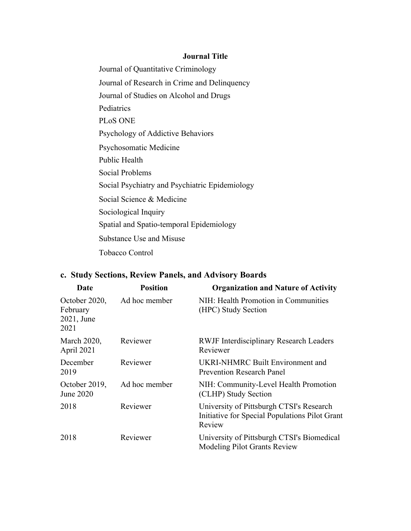#### **Journal Title**

Journal of Quantitative Criminology Journal of Research in Crime and Delinquency Journal of Studies on Alcohol and Drugs **Pediatrics** PLoS ONE Psychology of Addictive Behaviors Psychosomatic Medicine Public Health Social Problems Social Psychiatry and Psychiatric Epidemiology Social Science & Medicine Sociological Inquiry Spatial and Spatio-temporal Epidemiology Substance Use and Misuse Tobacco Control

## **c. Study Sections, Review Panels, and Advisory Boards**

| Date                                            | <b>Position</b> | <b>Organization and Nature of Activity</b>                                                           |
|-------------------------------------------------|-----------------|------------------------------------------------------------------------------------------------------|
| October 2020,<br>February<br>2021, June<br>2021 | Ad hoc member   | NIH: Health Promotion in Communities<br>(HPC) Study Section                                          |
| March 2020,<br>April 2021                       | Reviewer        | <b>RWJF</b> Interdisciplinary Research Leaders<br>Reviewer                                           |
| December<br>2019                                | Reviewer        | UKRI-NHMRC Built Environment and<br><b>Prevention Research Panel</b>                                 |
| October 2019,<br>June 2020                      | Ad hoc member   | NIH: Community-Level Health Promotion<br>(CLHP) Study Section                                        |
| 2018                                            | Reviewer        | University of Pittsburgh CTSI's Research<br>Initiative for Special Populations Pilot Grant<br>Review |
| 2018                                            | Reviewer        | University of Pittsburgh CTSI's Biomedical<br>Modeling Pilot Grants Review                           |